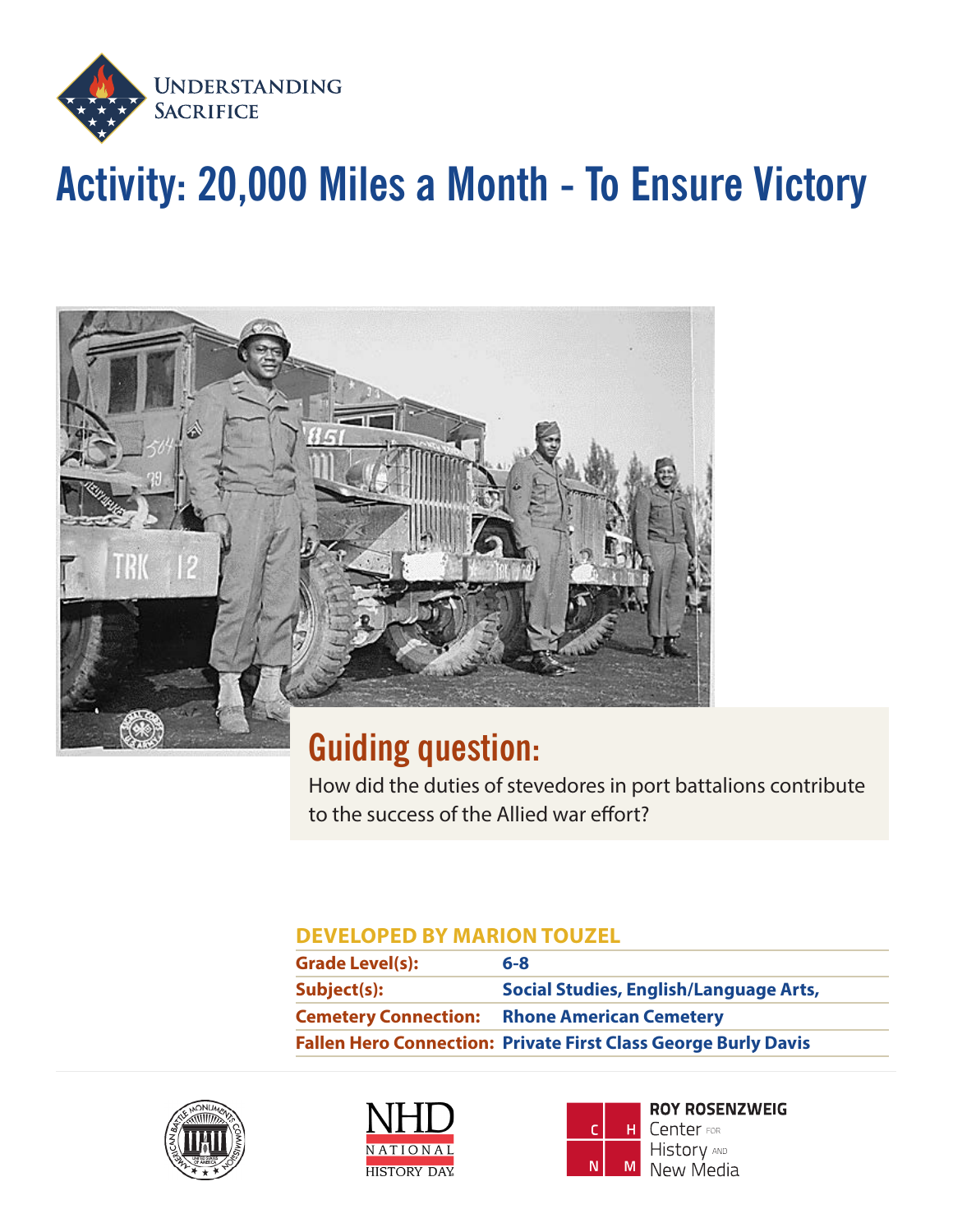

# **Activity: 20,000 Miles a Month - To Ensure Victory**



## **Guiding question:**

How did the duties of stevedores in port battalions contribute to the success of the Allied war effort?

### **DEVELOPED BY MARION TOUZEL**

| <b>Grade Level(s):</b>      | $6 - 8$                                                               |
|-----------------------------|-----------------------------------------------------------------------|
| Subject(s):                 | Social Studies, English/Language Arts,                                |
| <b>Cemetery Connection:</b> | <b>Rhone American Cemetery</b>                                        |
|                             | <b>Fallen Hero Connection: Private First Class George Burly Davis</b> |







**ROY ROSENZWEIG** Center FOR **History AND** New Media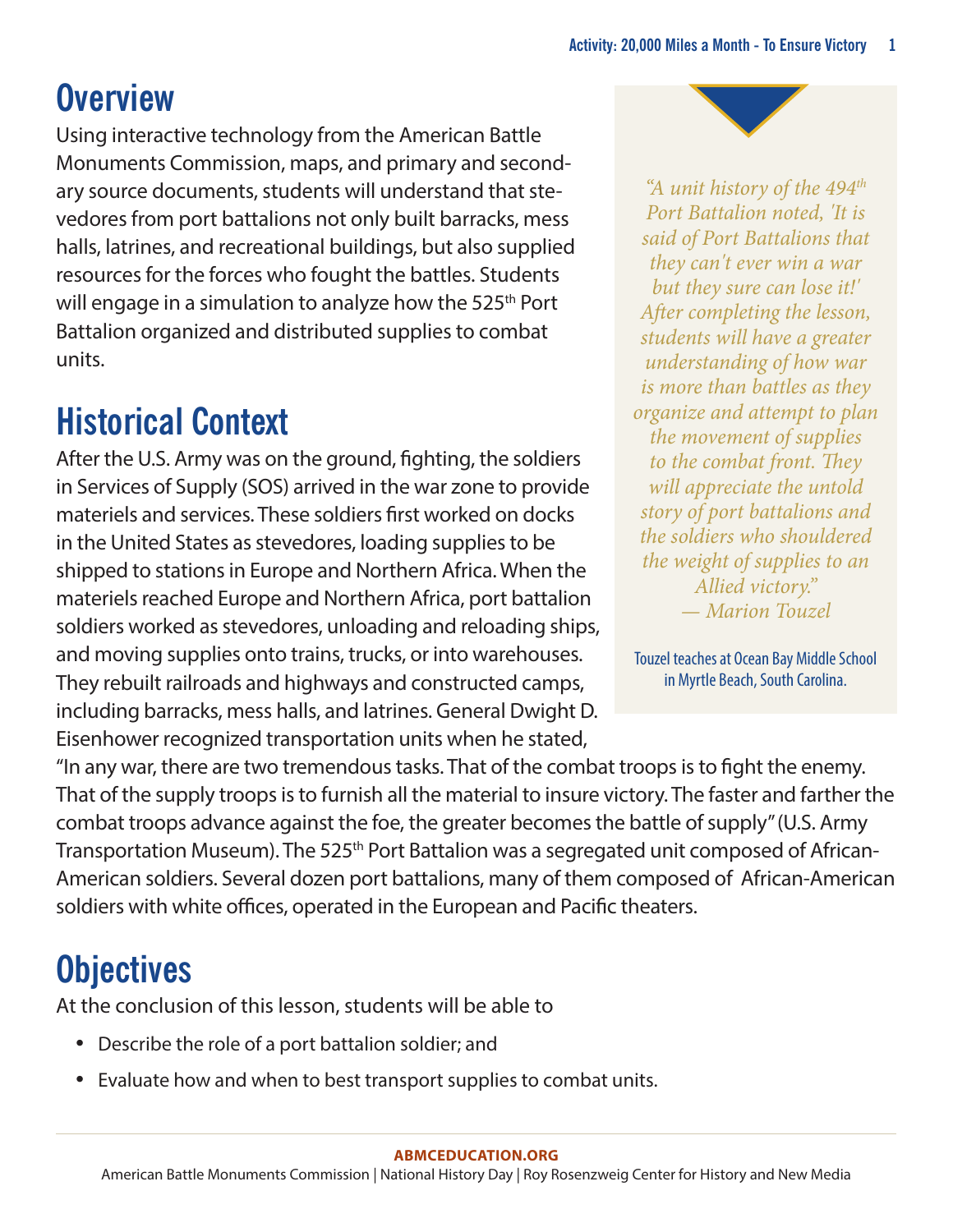## **Overview**

Using interactive technology from the American Battle Monuments Commission, maps, and primary and secondary source documents, students will understand that stevedores from port battalions not only built barracks, mess halls, latrines, and recreational buildings, but also supplied resources for the forces who fought the battles. Students will engage in a simulation to analyze how the 525<sup>th</sup> Port Battalion organized and distributed supplies to combat units.

# **Historical Context**

After the U.S. Army was on the ground, fighting, the soldiers in Services of Supply (SOS) arrived in the war zone to provide materiels and services. These soldiers first worked on docks in the United States as stevedores, loading supplies to be shipped to stations in Europe and Northern Africa. When the materiels reached Europe and Northern Africa, port battalion soldiers worked as stevedores, unloading and reloading ships, and moving supplies onto trains, trucks, or into warehouses. They rebuilt railroads and highways and constructed camps, including barracks, mess halls, and latrines. General Dwight D. Eisenhower recognized transportation units when he stated,

*"A unit history of the 494th Port Battalion noted, 'It is said of Port Battalions that they can't ever win a war but they sure can lose it!' After completing the lesson, students will have a greater understanding of how war is more than battles as they organize and attempt to plan the movement of supplies to the combat front. They will appreciate the untold story of port battalions and the soldiers who shouldered the weight of supplies to an Allied victory." — Marion Touzel*

Touzel teaches at Ocean Bay Middle School in Myrtle Beach, South Carolina.

"In any war, there are two tremendous tasks. That of the combat troops is to fight the enemy. That of the supply troops is to furnish all the material to insure victory. The faster and farther the combat troops advance against the foe, the greater becomes the battle of supply" (U.S. Army Transportation Museum). The 525<sup>th</sup> Port Battalion was a segregated unit composed of African-American soldiers. Several dozen port battalions, many of them composed of African-American soldiers with white offices, operated in the European and Pacific theaters.

## **Objectives**

At the conclusion of this lesson, students will be able to

- Describe the role of a port battalion soldier; and
- Evaluate how and when to best transport supplies to combat units.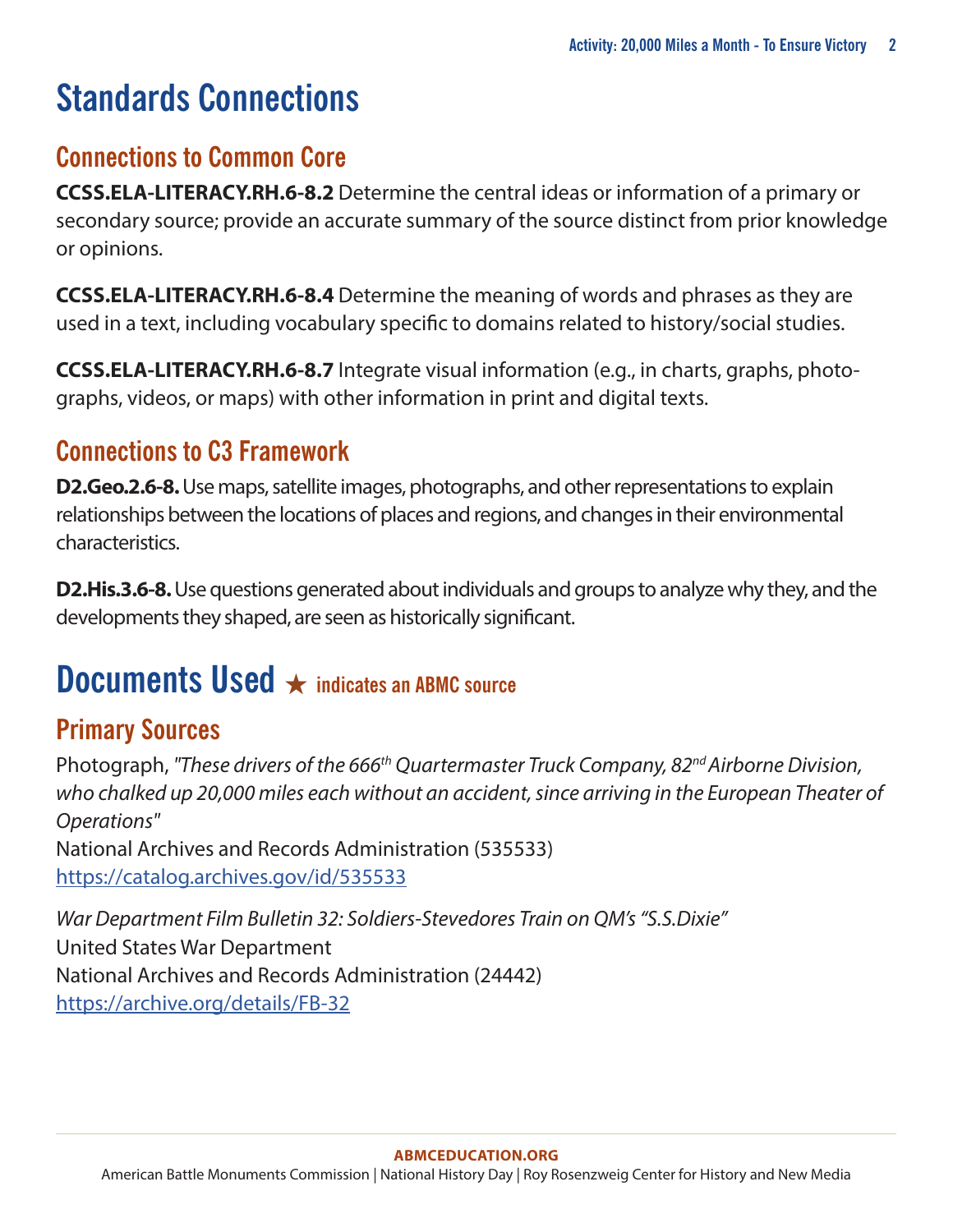# **Standards Connections**

### **Connections to Common Core**

**CCSS.ELA-LITERACY.RH.6-8.2** Determine the central ideas or information of a primary or secondary source; provide an accurate summary of the source distinct from prior knowledge or opinions.

**CCSS.ELA-LITERACY.RH.6-8.4** Determine the meaning of words and phrases as they are used in a text, including vocabulary specific to domains related to history/social studies.

**CCSS.ELA-LITERACY.RH.6-8.7** Integrate visual information (e.g., in charts, graphs, photographs, videos, or maps) with other information in print and digital texts.

### **Connections to C3 Framework**

**D2.Geo.2.6-8.** Use maps, satellite images, photographs, and other representations to explain relationships between the locations of places and regions, and changes in their environmental characteristics.

**D2.His.3.6-8.** Use questions generated about individuals and groups to analyze why they, and the developments they shaped, are seen as historically significant.

### **Documents Used** ★ **indicates an ABMC source**

### **Primary Sources**

Photograph, *"These drivers of the 666th Quartermaster Truck Company, 82nd Airborne Division, who chalked up 20,000 miles each without an accident, since arriving in the European Theater of Operations"* National Archives and Records Administration (535533) <https://catalog.archives.gov/id/535533>

*War Department Film Bulletin 32: Soldiers-Stevedores Train on QM's "S.S.Dixie"* United States War Department National Archives and Records Administration (24442) <https://archive.org/details/FB-32>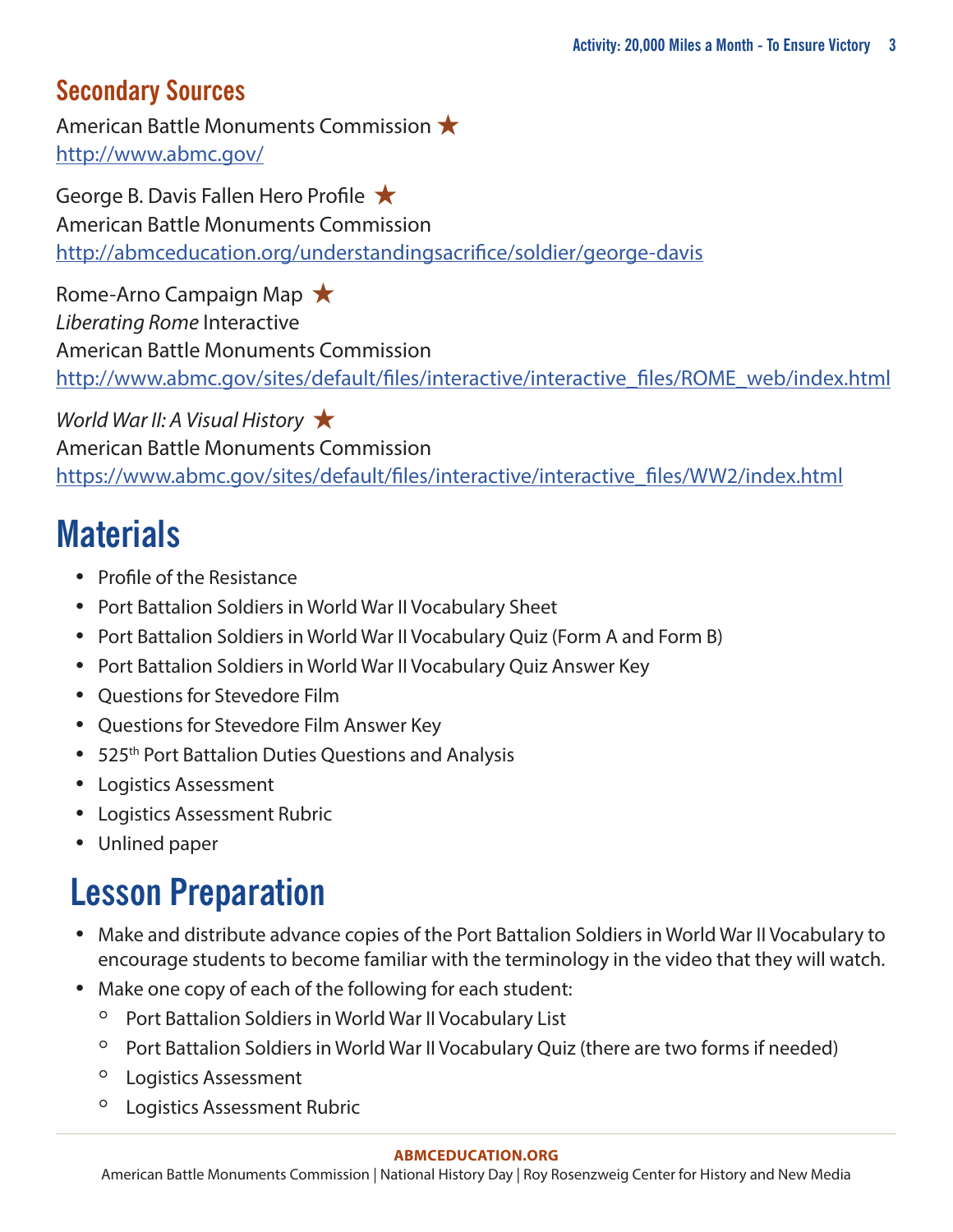### **Secondary Sources**

American Battle Monuments Commission ★ <http://www.abmc.gov/>

George B. Davis Fallen Hero Profile ★ American Battle Monuments Commission <http://abmceducation.org/understandingsacrifice/soldier/george-davis>

Rome-Arno Campaign Map ★ *Liberating Rome* Interactive American Battle Monuments Commission [http://www.abmc.gov/sites/default/files/interactive/interactive\\_files/ROME\\_web/index.html](http://www.abmc.gov/sites/default/files/interactive/interactive_files/ROME_web/index.html)

*World War II: A Visual History* ★ American Battle Monuments Commission [https://www.abmc.gov/sites/default/files/interactive/interactive\\_files/WW2/index.html](https://www.abmc.gov/sites/default/files/interactive/interactive_files/WW2/index.html)

# **Materials**

- Profile of the Resistance
- Port Battalion Soldiers in World War II Vocabulary Sheet
- Port Battalion Soldiers in World War II Vocabulary Quiz (Form A and Form B)
- Port Battalion Soldiers in World War II Vocabulary Quiz Answer Key
- Questions for Stevedore Film
- Questions for Stevedore Film Answer Key
- 525<sup>th</sup> Port Battalion Duties Questions and Analysis
- Logistics Assessment
- Logistics Assessment Rubric
- Unlined paper

# **Lesson Preparation**

- Make and distribute advance copies of the Port Battalion Soldiers in World War II Vocabulary to encourage students to become familiar with the terminology in the video that they will watch.
- Make one copy of each of the following for each student:
	- Port Battalion Soldiers in World War II Vocabulary List
	- Port Battalion Soldiers in World War II Vocabulary Quiz (there are two forms if needed)
	- Logistics Assessment
	- Logistics Assessment Rubric

#### **[ABMCEDUCATION.ORG](http://abmceducation.org)**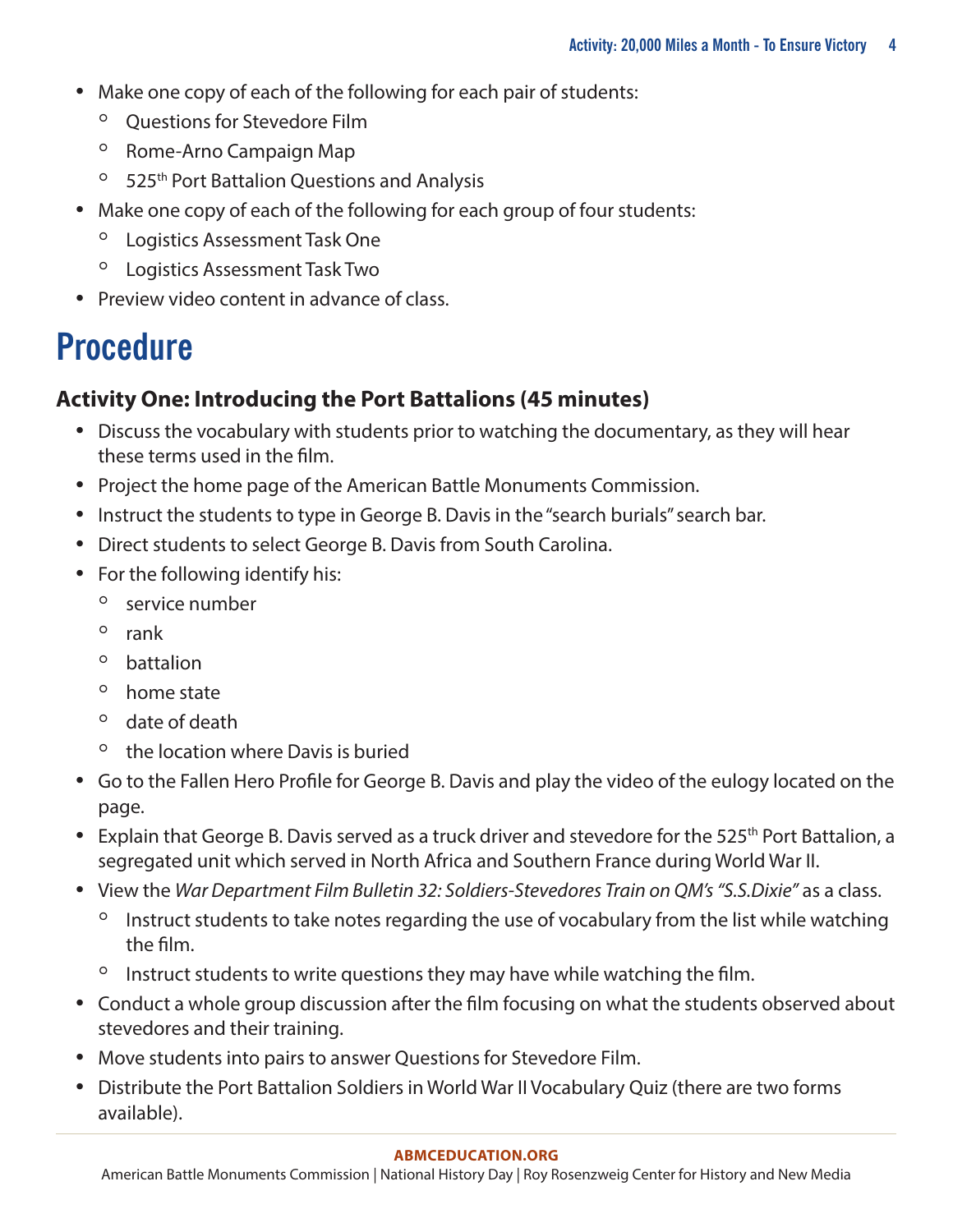- Make one copy of each of the following for each pair of students:
	- Questions for Stevedore Film
	- Rome-Arno Campaign Map
	- 525th Port Battalion Questions and Analysis
- Make one copy of each of the following for each group of four students:
	- Logistics Assessment Task One
	- Logistics Assessment Task Two
- Preview video content in advance of class.

# **Procedure**

### **Activity One: Introducing the Port Battalions (45 minutes)**

- Discuss the vocabulary with students prior to watching the documentary, as they will hear these terms used in the film.
- Project the home page of the American Battle Monuments Commission.
- Instruct the students to type in George B. Davis in the "search burials" search bar.
- Direct students to select George B. Davis from South Carolina.
- For the following identify his:
	- service number
	- rank
	- battalion
	- home state
	- date of death
	- the location where Davis is buried
- Go to the Fallen Hero Profile for George B. Davis and play the video of the eulogy located on the page.
- Explain that George B. Davis served as a truck driver and stevedore for the 525<sup>th</sup> Port Battalion, a segregated unit which served in North Africa and Southern France during World War II.
- View the *War Department Film Bulletin 32: Soldiers-Stevedores Train on QM's "S.S.Dixie"* as a class.
	- Instruct students to take notes regarding the use of vocabulary from the list while watching the film.
	- Instruct students to write questions they may have while watching the film.
- Conduct a whole group discussion after the film focusing on what the students observed about stevedores and their training.
- Move students into pairs to answer Questions for Stevedore Film.
- Distribute the Port Battalion Soldiers in World War II Vocabulary Quiz (there are two forms available).

#### **[ABMCEDUCATION.ORG](http://abmceducation.org)**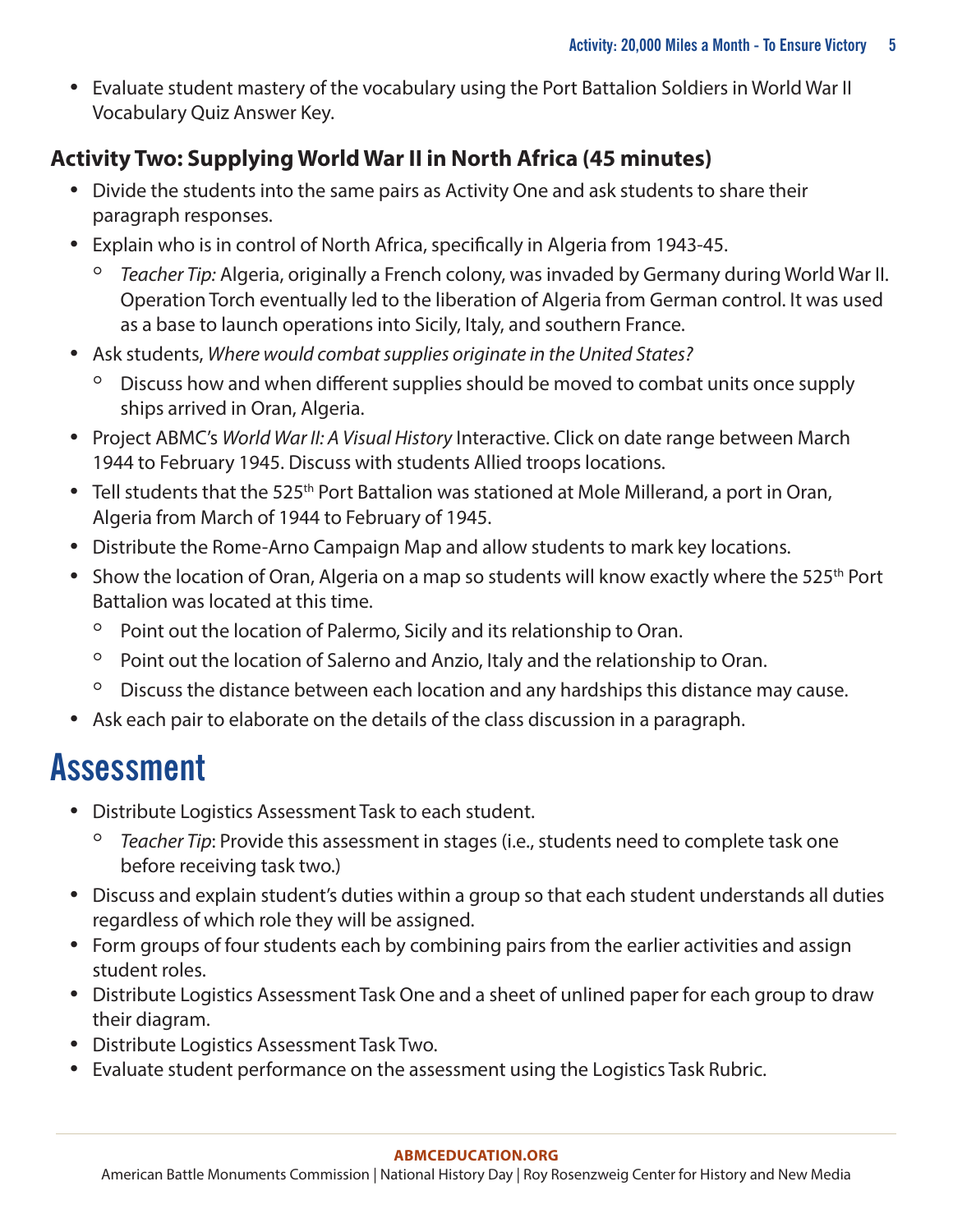• Evaluate student mastery of the vocabulary using the Port Battalion Soldiers in World War II Vocabulary Quiz Answer Key.

### **Activity Two: Supplying World War II in North Africa (45 minutes)**

- Divide the students into the same pairs as Activity One and ask students to share their paragraph responses.
- Explain who is in control of North Africa, specifically in Algeria from 1943-45.
	- *Teacher Tip:* Algeria, originally a French colony, was invaded by Germany during World War II. Operation Torch eventually led to the liberation of Algeria from German control. It was used as a base to launch operations into Sicily, Italy, and southern France.
- Ask students, *Where would combat supplies originate in the United States?*
	- Discuss how and when different supplies should be moved to combat units once supply ships arrived in Oran, Algeria.
- Project ABMC's *World War II: A Visual History* Interactive. Click on date range between March 1944 to February 1945. Discuss with students Allied troops locations.
- Tell students that the 525<sup>th</sup> Port Battalion was stationed at Mole Millerand, a port in Oran, Algeria from March of 1944 to February of 1945.
- Distribute the Rome-Arno Campaign Map and allow students to mark key locations.
- Show the location of Oran, Algeria on a map so students will know exactly where the 525<sup>th</sup> Port Battalion was located at this time.
	- Point out the location of Palermo, Sicily and its relationship to Oran.
	- Point out the location of Salerno and Anzio, Italy and the relationship to Oran.
	- Discuss the distance between each location and any hardships this distance may cause.
- Ask each pair to elaborate on the details of the class discussion in a paragraph.

## **Assessment**

- Distribute Logistics Assessment Task to each student.
	- *Teacher Tip*: Provide this assessment in stages (i.e., students need to complete task one before receiving task two.)
- Discuss and explain student's duties within a group so that each student understands all duties regardless of which role they will be assigned.
- Form groups of four students each by combining pairs from the earlier activities and assign student roles.
- Distribute Logistics Assessment Task One and a sheet of unlined paper for each group to draw their diagram.
- Distribute Logistics Assessment Task Two.
- Evaluate student performance on the assessment using the Logistics Task Rubric.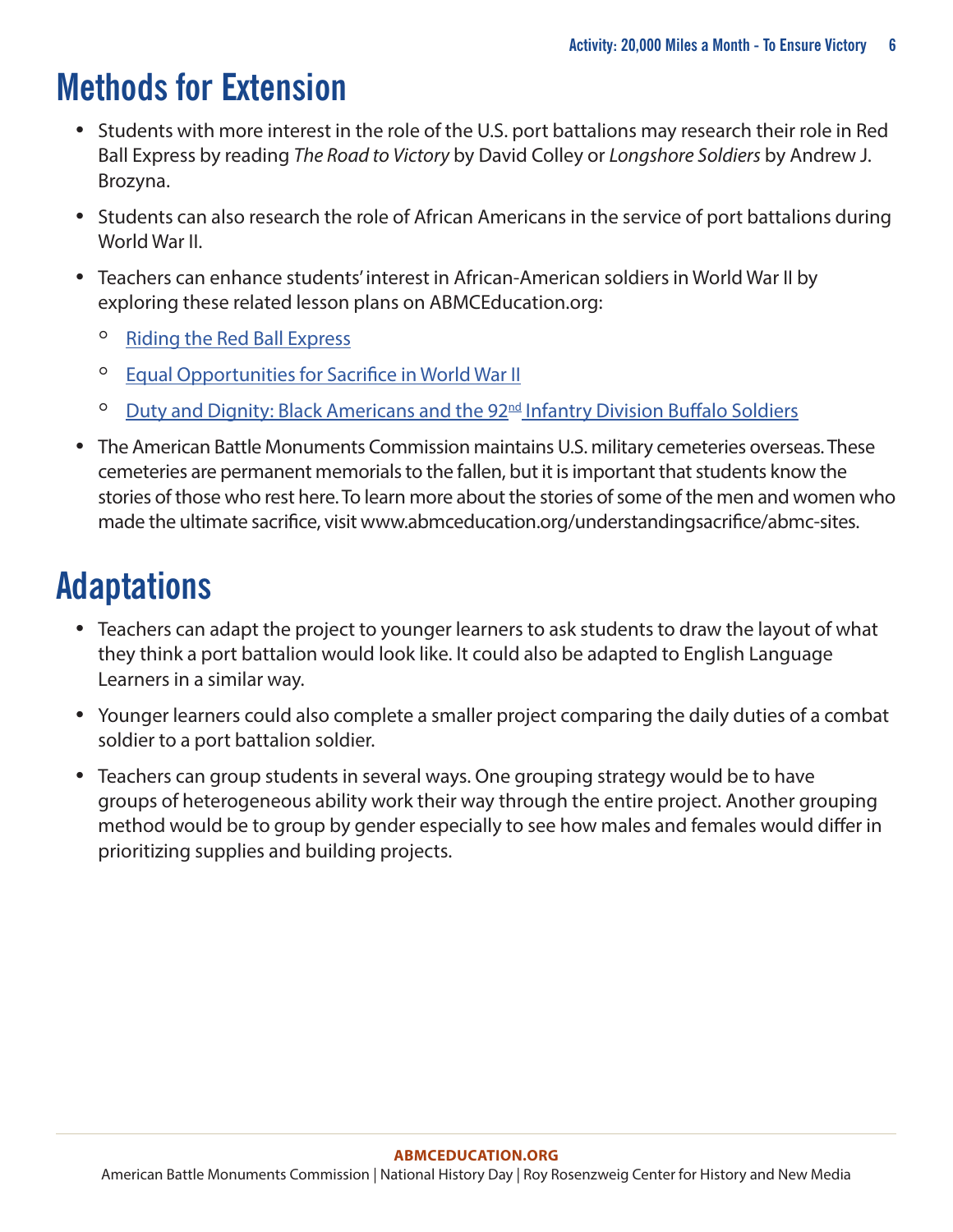## **Methods for Extension**

- Students with more interest in the role of the U.S. port battalions may research their role in Red Ball Express by reading *The Road to Victory* by David Colley or *Longshore Soldiers* by Andrew J. Brozyna.
- Students can also research the role of African Americans in the service of port battalions during World War II.
- Teachers can enhance students' interest in African-American soldiers in World War II by exploring these related lesson plans on ABMCEducation.org:
	- [Riding the Red Ball Express](http://abmceducation.org/understandingsacrifice/activity/riding-along-red-ball-express)
	- [Equal Opportunities for Sacrifice in World War II](http://abmceducation.org/understandingsacrifice/activity/equal-opportunities-sacrifice-world-war-ii)
	- **○** Duty and Dignity: Black Americans and the 92<sup>nd</sup> Infantry Division Buffalo Soldiers
- The American Battle Monuments Commission maintains U.S. military cemeteries overseas. These cemeteries are permanent memorials to the fallen, but it is important that students know the stories of those who rest here. To learn more about the stories of some of the men and women who made the ultimate sacrifice, visit [www.abmceducation.org/understandingsacrifice/abmc-sites.](www.abmceducation.org/understandingsacrifice/abmc-sites)

# **Adaptations**

- Teachers can adapt the project to younger learners to ask students to draw the layout of what they think a port battalion would look like. It could also be adapted to English Language Learners in a similar way.
- Younger learners could also complete a smaller project comparing the daily duties of a combat soldier to a port battalion soldier.
- Teachers can group students in several ways. One grouping strategy would be to have groups of heterogeneous ability work their way through the entire project. Another grouping method would be to group by gender especially to see how males and females would differ in prioritizing supplies and building projects.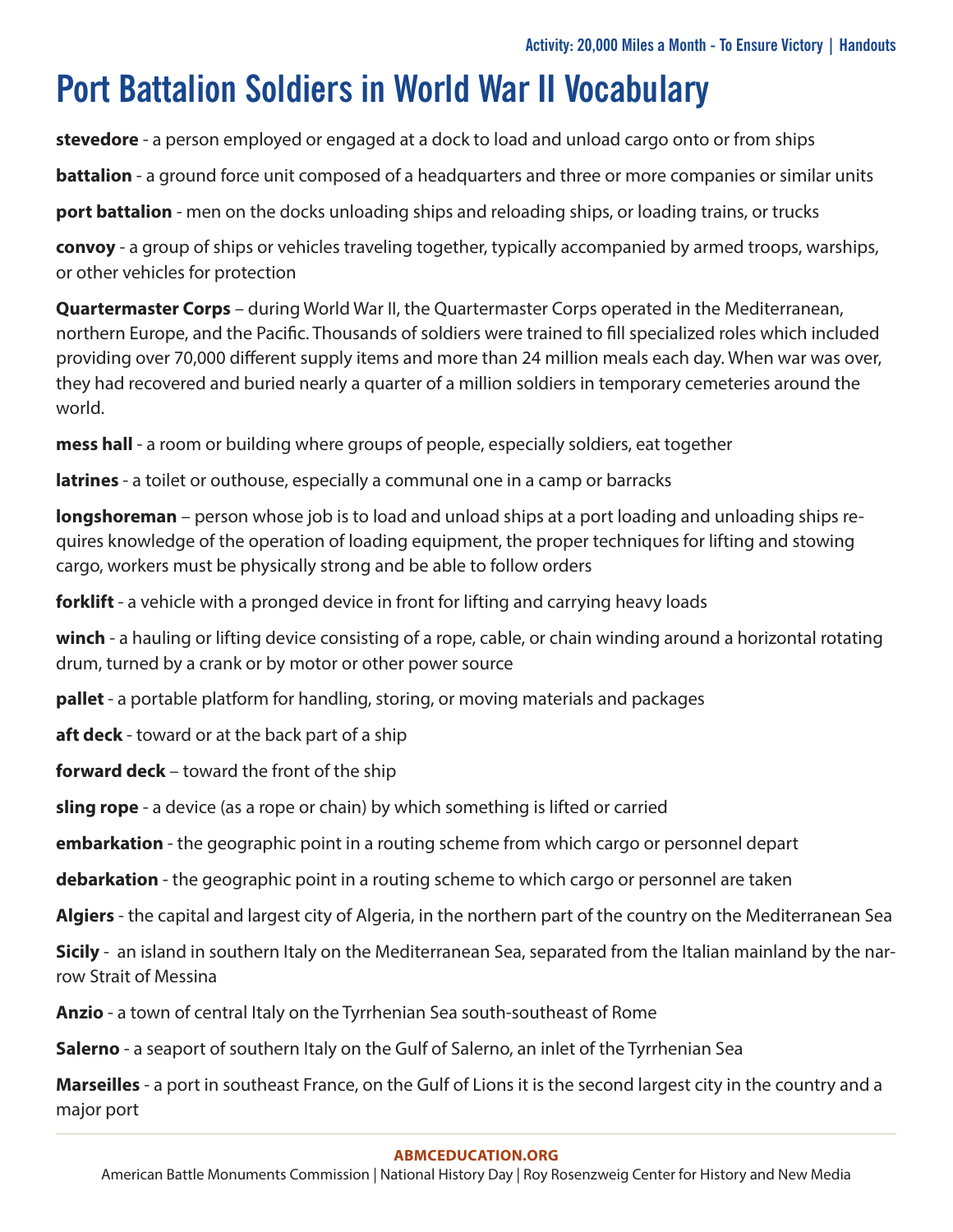## **Port Battalion Soldiers in World War II Vocabulary**

**stevedore** - a person employed or engaged at a dock to load and unload cargo onto or from ships

**battalion** - a ground force unit composed of a headquarters and three or more companies or similar units

**port battalion** - men on the docks unloading ships and reloading ships, or loading trains, or trucks

**convoy** - a group of ships or vehicles traveling together, typically accompanied by armed troops, warships, or other vehicles for protection

**Quartermaster Corps** – during World War II, the Quartermaster Corps operated in the Mediterranean, northern Europe, and the Pacific. Thousands of soldiers were trained to fill specialized roles which included providing over 70,000 different supply items and more than 24 million meals each day. When war was over, they had recovered and buried nearly a quarter of a million soldiers in temporary cemeteries around the world.

**mess hall** - a room or building where groups of people, especially soldiers, eat together

**latrines** - a toilet or outhouse, especially a communal one in a camp or barracks

**longshoreman** – person whose job is to load and unload ships at a port loading and unloading ships requires knowledge of the operation of loading equipment, the proper techniques for lifting and stowing cargo, workers must be physically strong and be able to follow orders

**forklift** - a vehicle with a pronged device in front for lifting and carrying heavy loads

**winch** - a hauling or lifting device consisting of a rope, cable, or chain winding around a horizontal rotating drum, turned by a crank or by motor or other power source

**pallet** - a portable platform for handling, storing, or moving materials and packages

**aft deck** - toward or at the back part of a ship

**forward deck** – toward the front of the ship

**sling rope** - a device (as a rope or chain) by which something is lifted or carried

**embarkation** - the geographic point in a routing scheme from which cargo or personnel depart

**debarkation** - the geographic point in a routing scheme to which cargo or personnel are taken

**Algiers** - the capital and largest city of Algeria, in the northern part of the country on the Mediterranean Sea

**Sicily** - an island in southern Italy on the Mediterranean Sea, separated from the Italian mainland by the narrow Strait of Messina

**Anzio** - a town of central Italy on the Tyrrhenian Sea south-southeast of Rome

**Salerno** - a seaport of southern Italy on the Gulf of Salerno, an inlet of the Tyrrhenian Sea

**Marseilles** - a port in southeast France, on the Gulf of Lions it is the second largest city in the country and a major port

#### **[ABMCEDUCATION.ORG](http://abmceducation.org)**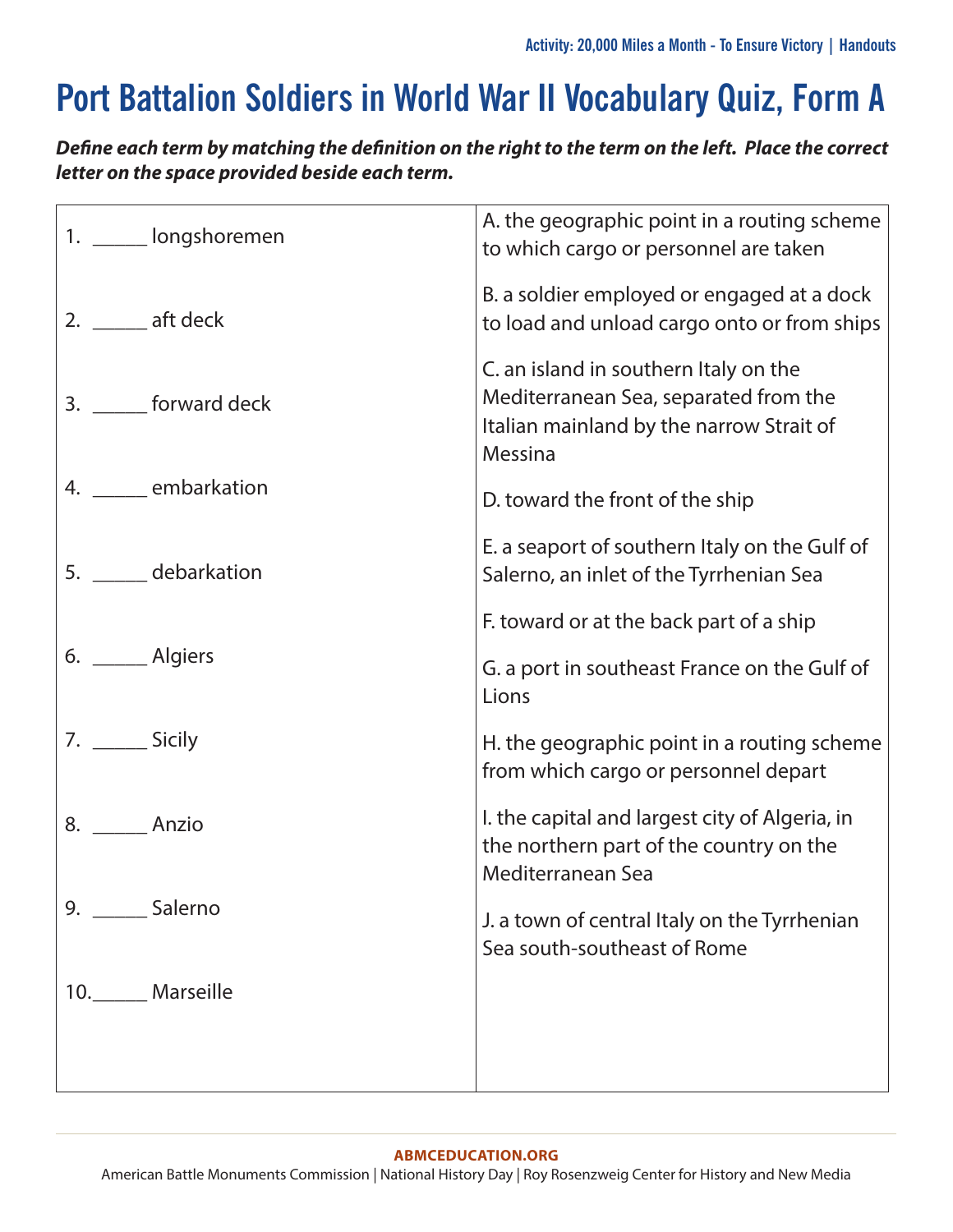# **Port Battalion Soldiers in World War II Vocabulary Quiz, Form A**

*Define each term by matching the definition on the right to the term on the left. Place the correct letter on the space provided beside each term.*

| 1. _____ longshoremen  | A. the geographic point in a routing scheme<br>to which cargo or personnel are taken                                                  |
|------------------------|---------------------------------------------------------------------------------------------------------------------------------------|
| 2. $\_\_\_$ aft deck   | B. a soldier employed or engaged at a dock<br>to load and unload cargo onto or from ships                                             |
| 3. ______ forward deck | C. an island in southern Italy on the<br>Mediterranean Sea, separated from the<br>Italian mainland by the narrow Strait of<br>Messina |
| 4. ______ embarkation  | D. toward the front of the ship                                                                                                       |
| 5. debarkation         | E. a seaport of southern Italy on the Gulf of<br>Salerno, an inlet of the Tyrrhenian Sea                                              |
|                        | F. toward or at the back part of a ship                                                                                               |
| 6. ______ Algiers      | G. a port in southeast France on the Gulf of<br>Lions                                                                                 |
| 7. _______ Sicily      | H. the geographic point in a routing scheme<br>from which cargo or personnel depart                                                   |
| 8. Anzio               | I. the capital and largest city of Algeria, in<br>the northern part of the country on the<br>Mediterranean Sea                        |
| 9. _______ Salerno     | J. a town of central Italy on the Tyrrhenian<br>Sea south-southeast of Rome                                                           |
| 10._______ Marseille   |                                                                                                                                       |
|                        |                                                                                                                                       |

#### **[ABMCEDUCATION.ORG](http://abmceducation.org)**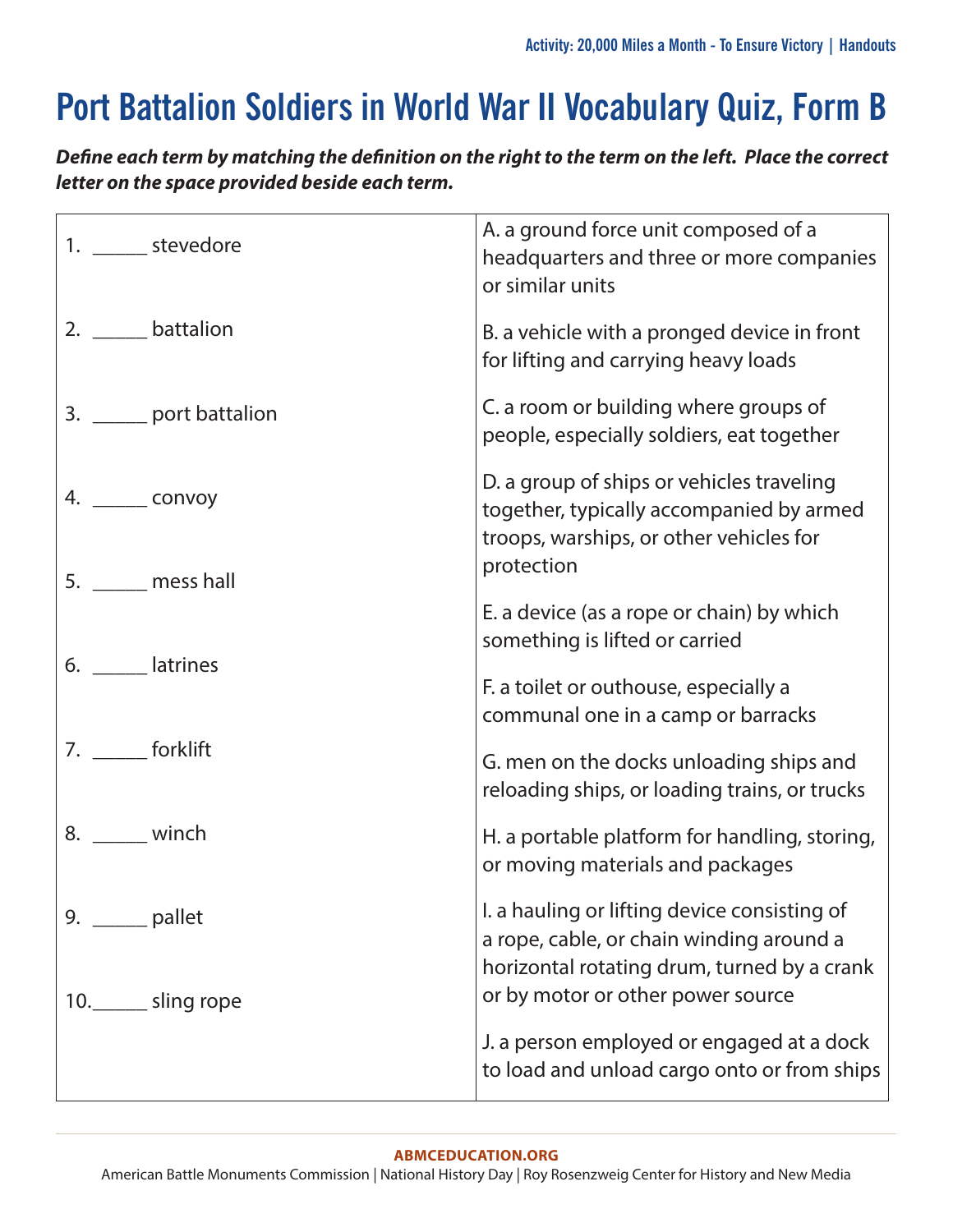# **Port Battalion Soldiers in World War II Vocabulary Quiz, Form B**

*Define each term by matching the definition on the right to the term on the left. Place the correct letter on the space provided beside each term.*

| 1. _______ stevedore                    | A. a ground force unit composed of a<br>headquarters and three or more companies<br>or similar units                                                                         |
|-----------------------------------------|------------------------------------------------------------------------------------------------------------------------------------------------------------------------------|
| 2. ______ battalion                     | B. a vehicle with a pronged device in front<br>for lifting and carrying heavy loads                                                                                          |
| 3. _______ port battalion               | C. a room or building where groups of<br>people, especially soldiers, eat together                                                                                           |
| 4. ______ convoy<br>5. mess hall        | D. a group of ships or vehicles traveling<br>together, typically accompanied by armed<br>troops, warships, or other vehicles for<br>protection                               |
| 6. ______ latrines                      | E. a device (as a rope or chain) by which<br>something is lifted or carried                                                                                                  |
|                                         | F. a toilet or outhouse, especially a<br>communal one in a camp or barracks                                                                                                  |
| 7. ______ forklift                      | G. men on the docks unloading ships and<br>reloading ships, or loading trains, or trucks                                                                                     |
| 8. _____ winch                          | H. a portable platform for handling, storing,<br>or moving materials and packages                                                                                            |
| 9. $\_$ pallet<br>10._______ sling rope | I. a hauling or lifting device consisting of<br>a rope, cable, or chain winding around a<br>horizontal rotating drum, turned by a crank<br>or by motor or other power source |
|                                         | J. a person employed or engaged at a dock<br>to load and unload cargo onto or from ships                                                                                     |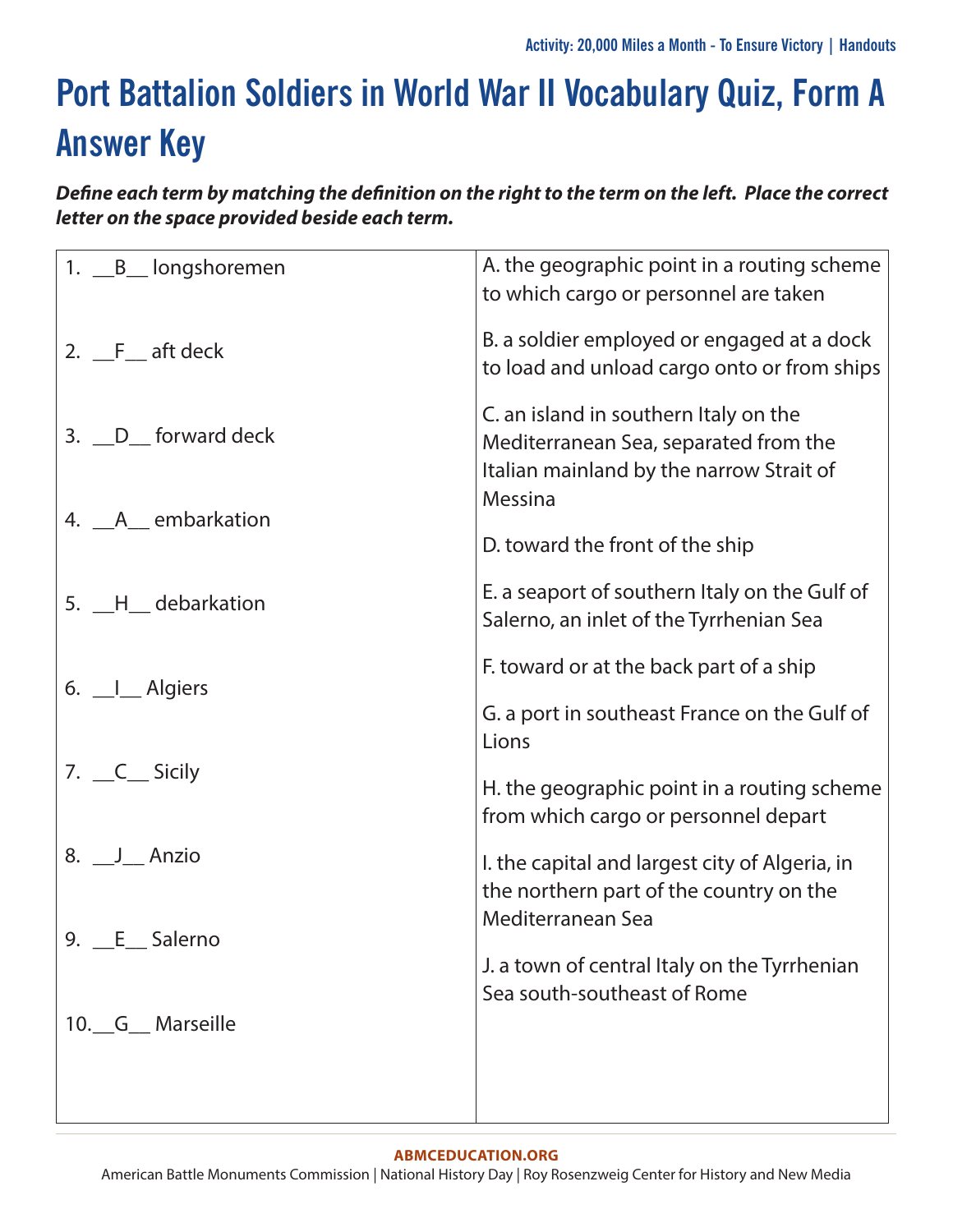# **Port Battalion Soldiers in World War II Vocabulary Quiz, Form A Answer Key**

*Define each term by matching the definition on the right to the term on the left. Place the correct letter on the space provided beside each term.*

| 1. <u>B</u> _ longshoremen | A. the geographic point in a routing scheme<br>to which cargo or personnel are taken                                       |  |  |
|----------------------------|----------------------------------------------------------------------------------------------------------------------------|--|--|
| 2. F aft deck              | B. a soldier employed or engaged at a dock<br>to load and unload cargo onto or from ships                                  |  |  |
| 3. __D__ forward deck      | C. an island in southern Italy on the<br>Mediterranean Sea, separated from the<br>Italian mainland by the narrow Strait of |  |  |
| 4. __A__ embarkation       | Messina                                                                                                                    |  |  |
|                            | D. toward the front of the ship                                                                                            |  |  |
| 5. __H__ debarkation       | E. a seaport of southern Italy on the Gulf of<br>Salerno, an inlet of the Tyrrhenian Sea                                   |  |  |
|                            | F. toward or at the back part of a ship                                                                                    |  |  |
| 6. <u> </u> Algiers        | G. a port in southeast France on the Gulf of<br>Lions                                                                      |  |  |
| 7. __C__ Sicily            | H. the geographic point in a routing scheme<br>from which cargo or personnel depart                                        |  |  |
| 8. J Anzio                 | I. the capital and largest city of Algeria, in<br>the northern part of the country on the                                  |  |  |
| 9. <u>__E</u> Salerno      | Mediterranean Sea                                                                                                          |  |  |
|                            | J. a town of central Italy on the Tyrrhenian<br>Sea south-southeast of Rome                                                |  |  |
| 10. G Marseille            |                                                                                                                            |  |  |
|                            |                                                                                                                            |  |  |
|                            |                                                                                                                            |  |  |

#### **[ABMCEDUCATION.ORG](http://abmceducation.org)**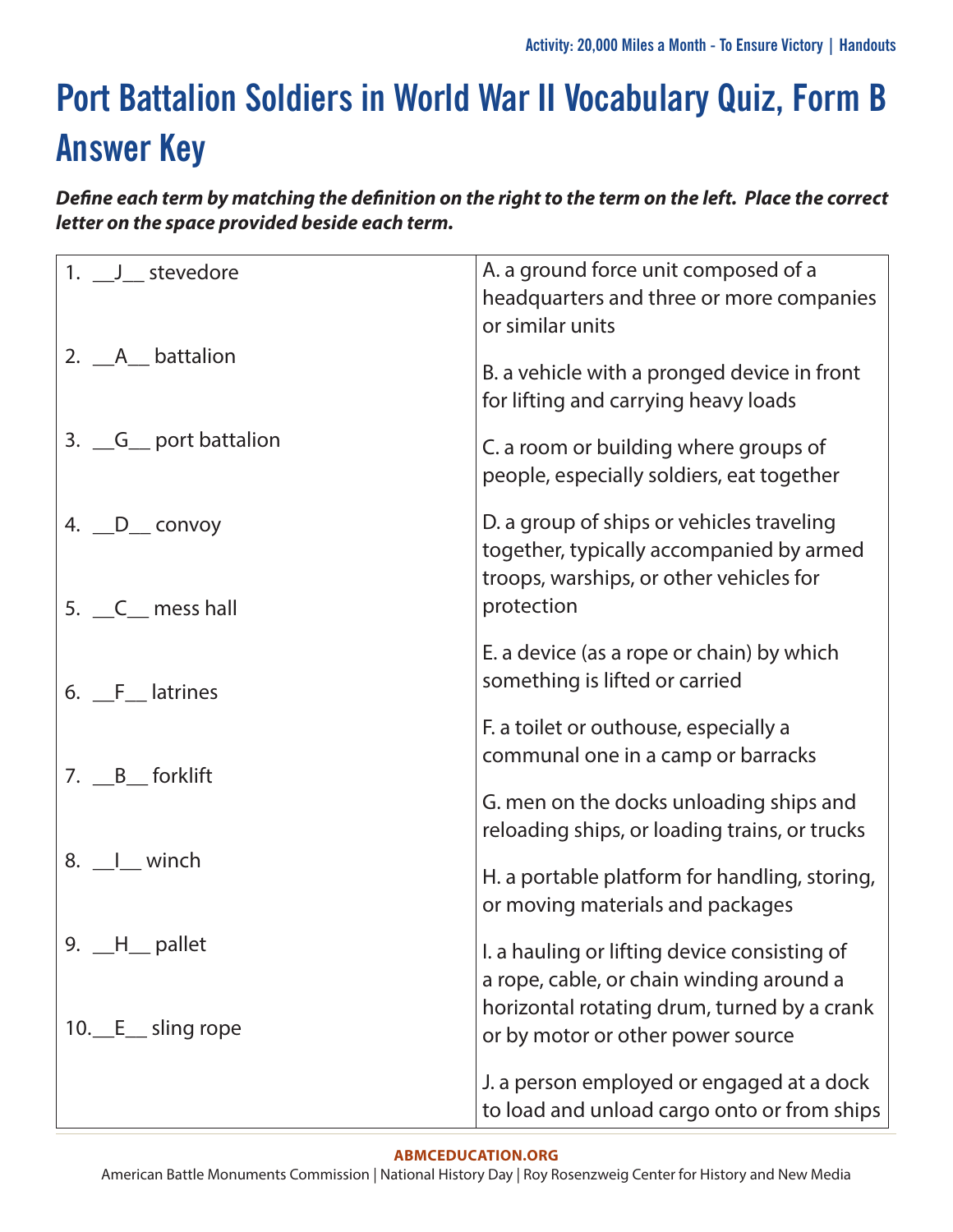# **Port Battalion Soldiers in World War II Vocabulary Quiz, Form B Answer Key**

*Define each term by matching the definition on the right to the term on the left. Place the correct letter on the space provided beside each term.*

| 1. $\frac{J}{2}$ stevedore       | A. a ground force unit composed of a<br>headquarters and three or more companies<br>or similar units                                           |
|----------------------------------|------------------------------------------------------------------------------------------------------------------------------------------------|
| 2. A battalion                   | B. a vehicle with a pronged device in front<br>for lifting and carrying heavy loads                                                            |
| 3. G_ port battalion             | C. a room or building where groups of<br>people, especially soldiers, eat together                                                             |
| 4. _D_ convoy<br>5. C_ mess hall | D. a group of ships or vehicles traveling<br>together, typically accompanied by armed<br>troops, warships, or other vehicles for<br>protection |
| 6. F_ latrines                   | E. a device (as a rope or chain) by which<br>something is lifted or carried                                                                    |
| 7. B_ forklift                   | F. a toilet or outhouse, especially a<br>communal one in a camp or barracks                                                                    |
|                                  | G. men on the docks unloading ships and<br>reloading ships, or loading trains, or trucks                                                       |
| 8. I winch                       | H. a portable platform for handling, storing,<br>or moving materials and packages                                                              |
| 9. $-H$ pallet                   | I. a hauling or lifting device consisting of<br>a rope, cable, or chain winding around a                                                       |
| 10. E sling rope                 | horizontal rotating drum, turned by a crank<br>or by motor or other power source                                                               |
|                                  | J. a person employed or engaged at a dock<br>to load and unload cargo onto or from ships                                                       |

#### **[ABMCEDUCATION.ORG](http://abmceducation.org)**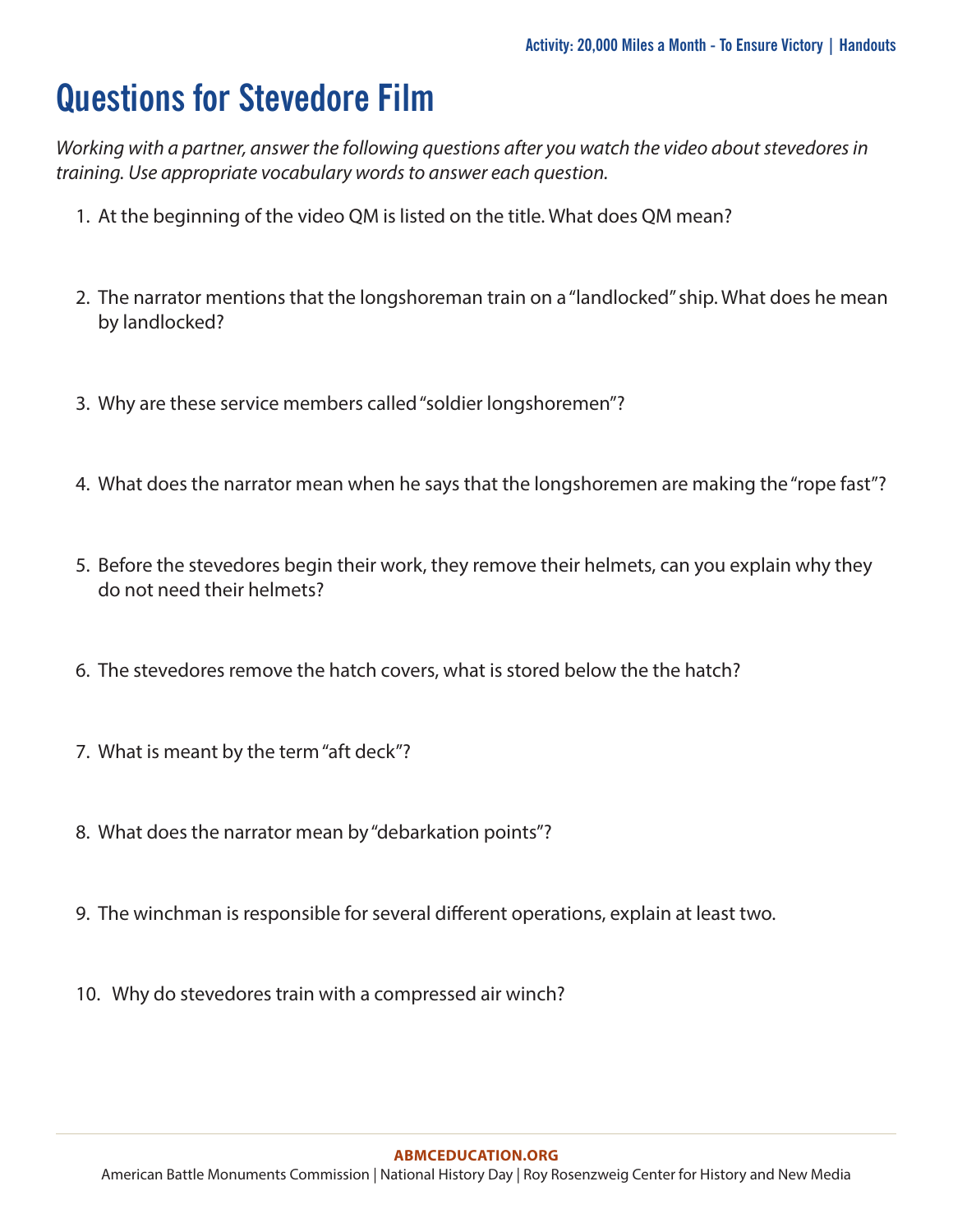## **Questions for Stevedore Film**

*Working with a partner, answer the following questions after you watch the video about stevedores in training. Use appropriate vocabulary words to answer each question.*

- 1. At the beginning of the video QM is listed on the title. What does QM mean?
- 2. The narrator mentions that the longshoreman train on a "landlocked" ship. What does he mean by landlocked?
- 3. Why are these service members called "soldier longshoremen"?
- 4. What does the narrator mean when he says that the longshoremen are making the "rope fast"?
- 5. Before the stevedores begin their work, they remove their helmets, can you explain why they do not need their helmets?
- 6. The stevedores remove the hatch covers, what is stored below the the hatch?
- 7. What is meant by the term "aft deck"?
- 8. What does the narrator mean by "debarkation points"?
- 9. The winchman is responsible for several different operations, explain at least two.
- 10. Why do stevedores train with a compressed air winch?

#### **[ABMCEDUCATION.ORG](http://abmceducation.org)**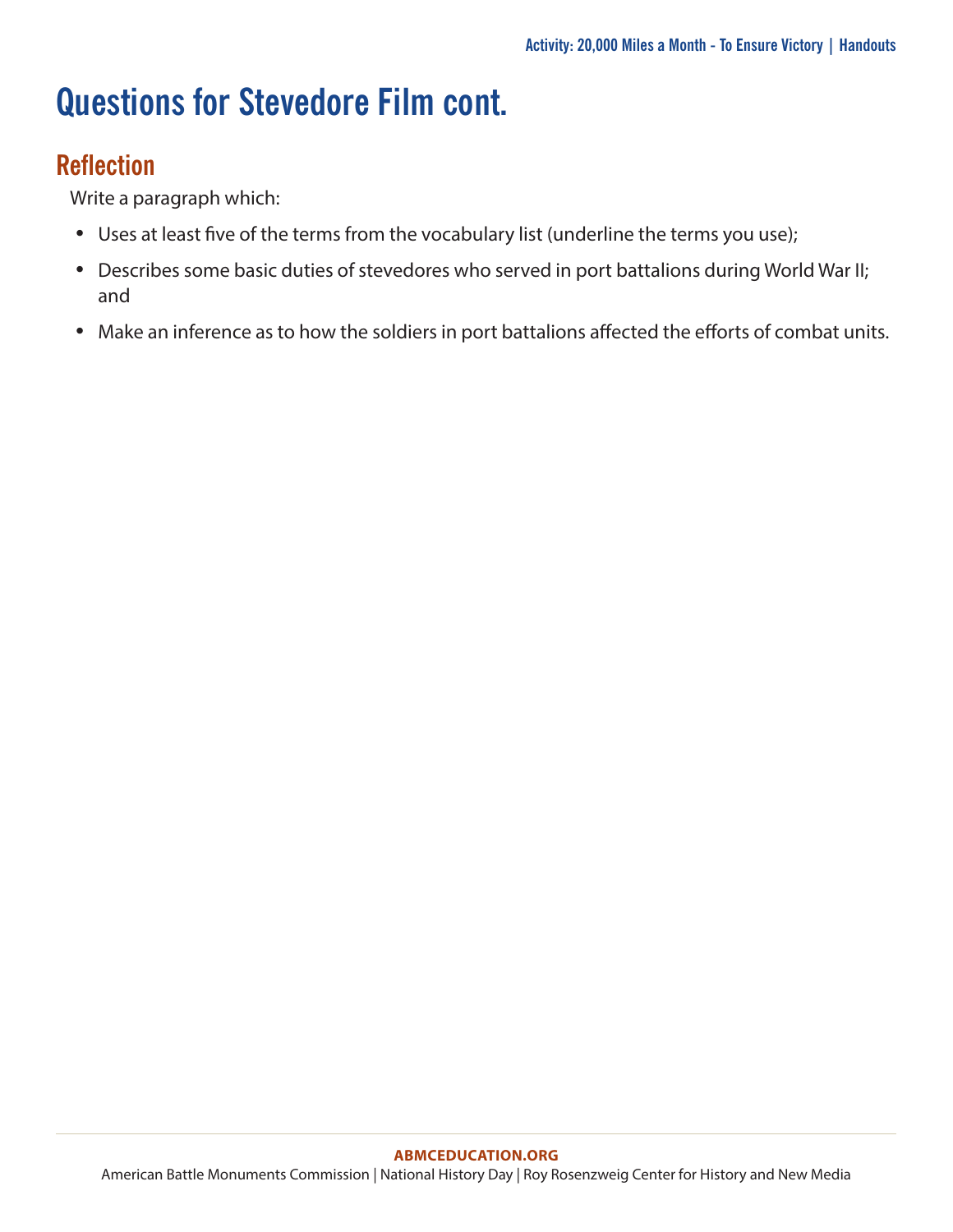# **Questions for Stevedore Film cont.**

### **Reflection**

Write a paragraph which:

- Uses at least five of the terms from the vocabulary list (underline the terms you use);
- Describes some basic duties of stevedores who served in port battalions during World War II; and
- Make an inference as to how the soldiers in port battalions affected the efforts of combat units.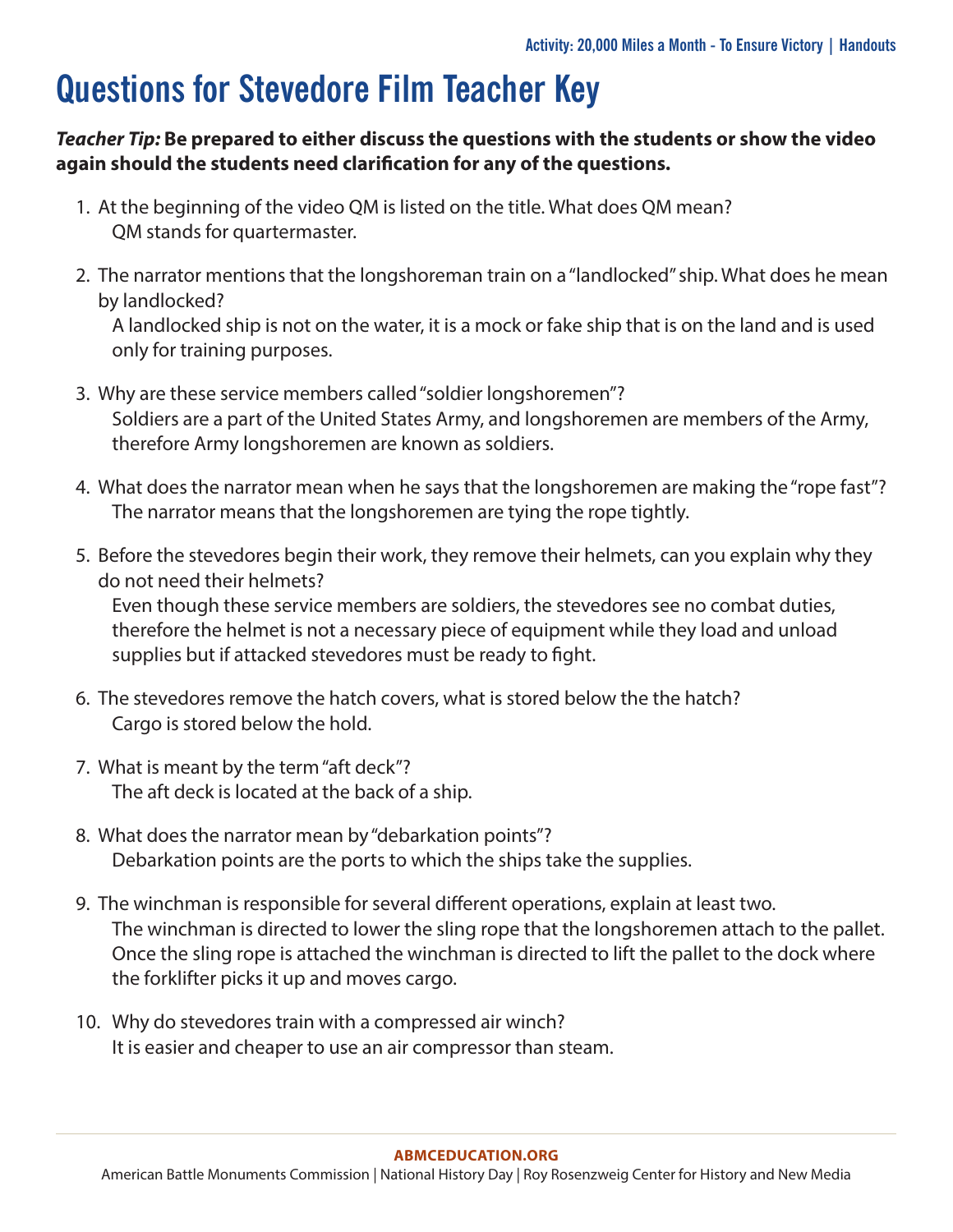## **Questions for Stevedore Film Teacher Key**

### *Teacher Tip:* **Be prepared to either discuss the questions with the students or show the video again should the students need clarification for any of the questions.**

- 1. At the beginning of the video QM is listed on the title. What does QM mean? QM stands for quartermaster.
- 2. The narrator mentions that the longshoreman train on a "landlocked" ship. What does he mean by landlocked?

A landlocked ship is not on the water, it is a mock or fake ship that is on the land and is used only for training purposes.

- 3. Why are these service members called "soldier longshoremen"? Soldiers are a part of the United States Army, and longshoremen are members of the Army, therefore Army longshoremen are known as soldiers.
- 4. What does the narrator mean when he says that the longshoremen are making the "rope fast"? The narrator means that the longshoremen are tying the rope tightly.
- 5. Before the stevedores begin their work, they remove their helmets, can you explain why they do not need their helmets?

Even though these service members are soldiers, the stevedores see no combat duties, therefore the helmet is not a necessary piece of equipment while they load and unload supplies but if attacked stevedores must be ready to fight.

- 6. The stevedores remove the hatch covers, what is stored below the the hatch? Cargo is stored below the hold.
- 7. What is meant by the term "aft deck"? The aft deck is located at the back of a ship.
- 8. What does the narrator mean by "debarkation points"? Debarkation points are the ports to which the ships take the supplies.
- 9. The winchman is responsible for several different operations, explain at least two. The winchman is directed to lower the sling rope that the longshoremen attach to the pallet. Once the sling rope is attached the winchman is directed to lift the pallet to the dock where the forklifter picks it up and moves cargo.
- 10. Why do stevedores train with a compressed air winch? It is easier and cheaper to use an air compressor than steam.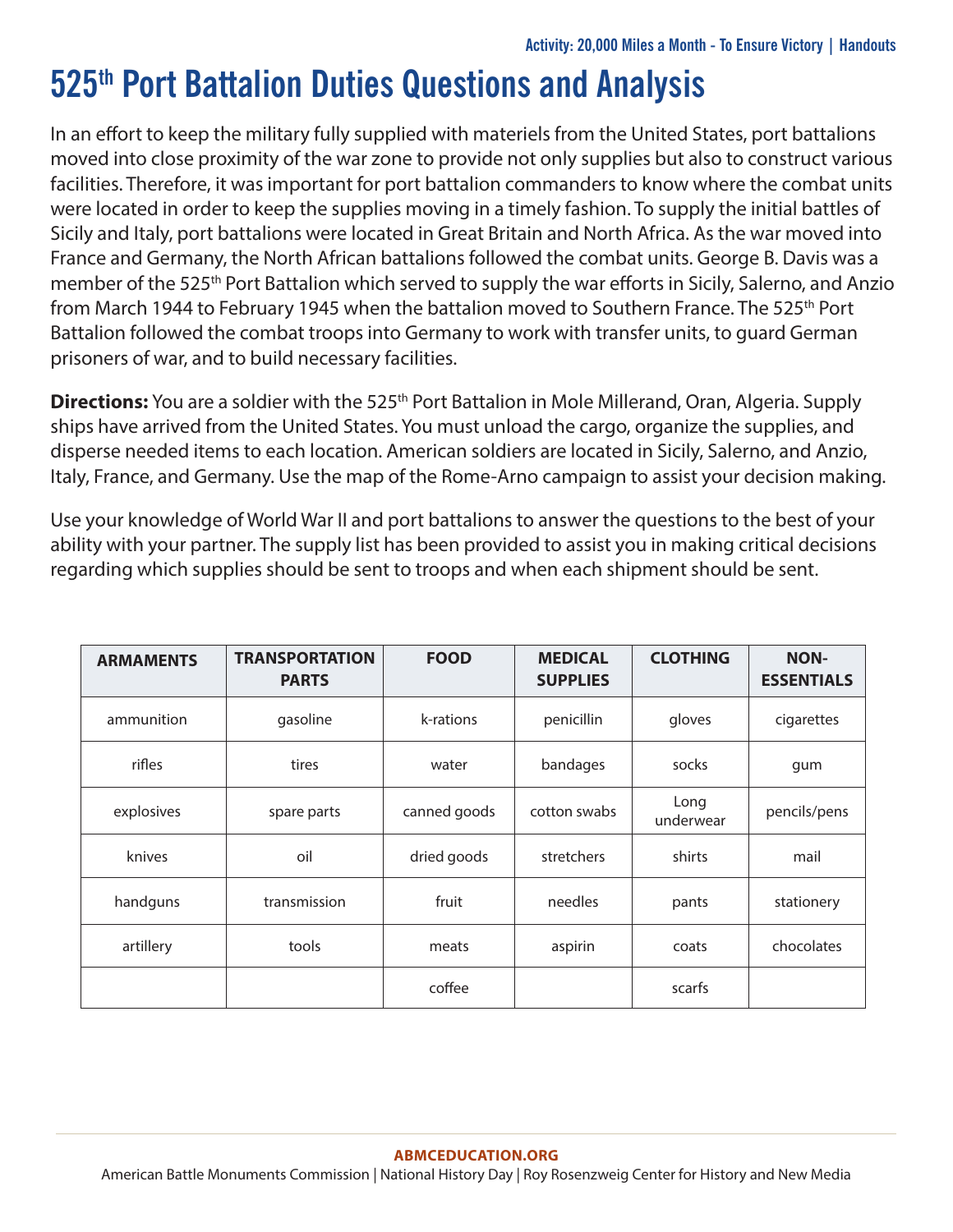## **525th Port Battalion Duties Questions and Analysis**

In an effort to keep the military fully supplied with materiels from the United States, port battalions moved into close proximity of the war zone to provide not only supplies but also to construct various facilities. Therefore, it was important for port battalion commanders to know where the combat units were located in order to keep the supplies moving in a timely fashion. To supply the initial battles of Sicily and Italy, port battalions were located in Great Britain and North Africa. As the war moved into France and Germany, the North African battalions followed the combat units. George B. Davis was a member of the 525<sup>th</sup> Port Battalion which served to supply the war efforts in Sicily, Salerno, and Anzio from March 1944 to February 1945 when the battalion moved to Southern France. The 525<sup>th</sup> Port Battalion followed the combat troops into Germany to work with transfer units, to guard German prisoners of war, and to build necessary facilities.

**Directions:** You are a soldier with the 525<sup>th</sup> Port Battalion in Mole Millerand, Oran, Algeria. Supply ships have arrived from the United States. You must unload the cargo, organize the supplies, and disperse needed items to each location. American soldiers are located in Sicily, Salerno, and Anzio, Italy, France, and Germany. Use the map of the Rome-Arno campaign to assist your decision making.

Use your knowledge of World War II and port battalions to answer the questions to the best of your ability with your partner. The supply list has been provided to assist you in making critical decisions regarding which supplies should be sent to troops and when each shipment should be sent.

| <b>ARMAMENTS</b> | <b>TRANSPORTATION</b><br><b>PARTS</b> | <b>FOOD</b>  | <b>MEDICAL</b><br><b>SUPPLIES</b> | <b>CLOTHING</b>   | <b>NON-</b><br><b>ESSENTIALS</b> |
|------------------|---------------------------------------|--------------|-----------------------------------|-------------------|----------------------------------|
| ammunition       | gasoline                              | k-rations    | penicillin                        | gloves            | cigarettes                       |
| rifles           | tires                                 | water        | bandages                          | socks             | gum                              |
| explosives       | spare parts                           | canned goods | cotton swabs                      | Long<br>underwear | pencils/pens                     |
| knives           | oil                                   | dried goods  | stretchers                        | shirts            | mail                             |
| handguns         | transmission                          | fruit        | needles                           | pants             | stationery                       |
| artillery        | tools                                 | meats        | aspirin                           | coats             | chocolates                       |
|                  |                                       | coffee       |                                   | scarfs            |                                  |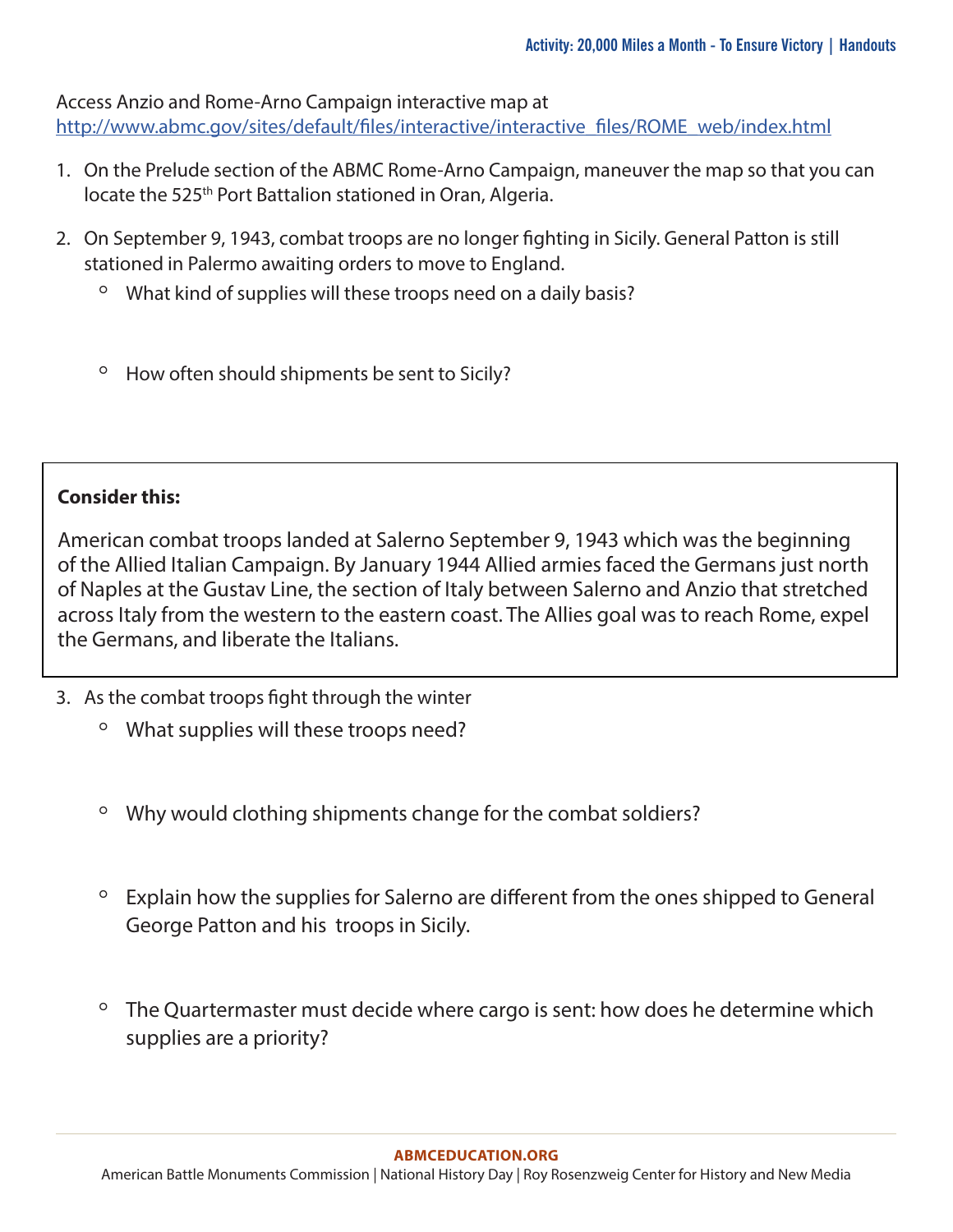Access Anzio and Rome-Arno Campaign interactive map at [http://www.abmc.gov/sites/default/files/interactive/interactive\\_files/ROME\\_web/index.html](http://www.abmc.gov/sites/default/files/interactive/interactive_files/ROME_web/index.html)

- 1. On the Prelude section of the ABMC Rome-Arno Campaign, maneuver the map so that you can locate the 525<sup>th</sup> Port Battalion stationed in Oran, Algeria.
- 2. On September 9, 1943, combat troops are no longer fighting in Sicily. General Patton is still stationed in Palermo awaiting orders to move to England.
	- What kind of supplies will these troops need on a daily basis?
	- How often should shipments be sent to Sicily?

#### **Consider this:**

American combat troops landed at Salerno September 9, 1943 which was the beginning of the Allied Italian Campaign. By January 1944 Allied armies faced the Germans just north of Naples at the Gustav Line, the section of Italy between Salerno and Anzio that stretched across Italy from the western to the eastern coast. The Allies goal was to reach Rome, expel the Germans, and liberate the Italians.

- 3. As the combat troops fight through the winter
	- What supplies will these troops need?
	- Why would clothing shipments change for the combat soldiers?
	- Explain how the supplies for Salerno are different from the ones shipped to General George Patton and his troops in Sicily.
	- The Quartermaster must decide where cargo is sent: how does he determine which supplies are a priority?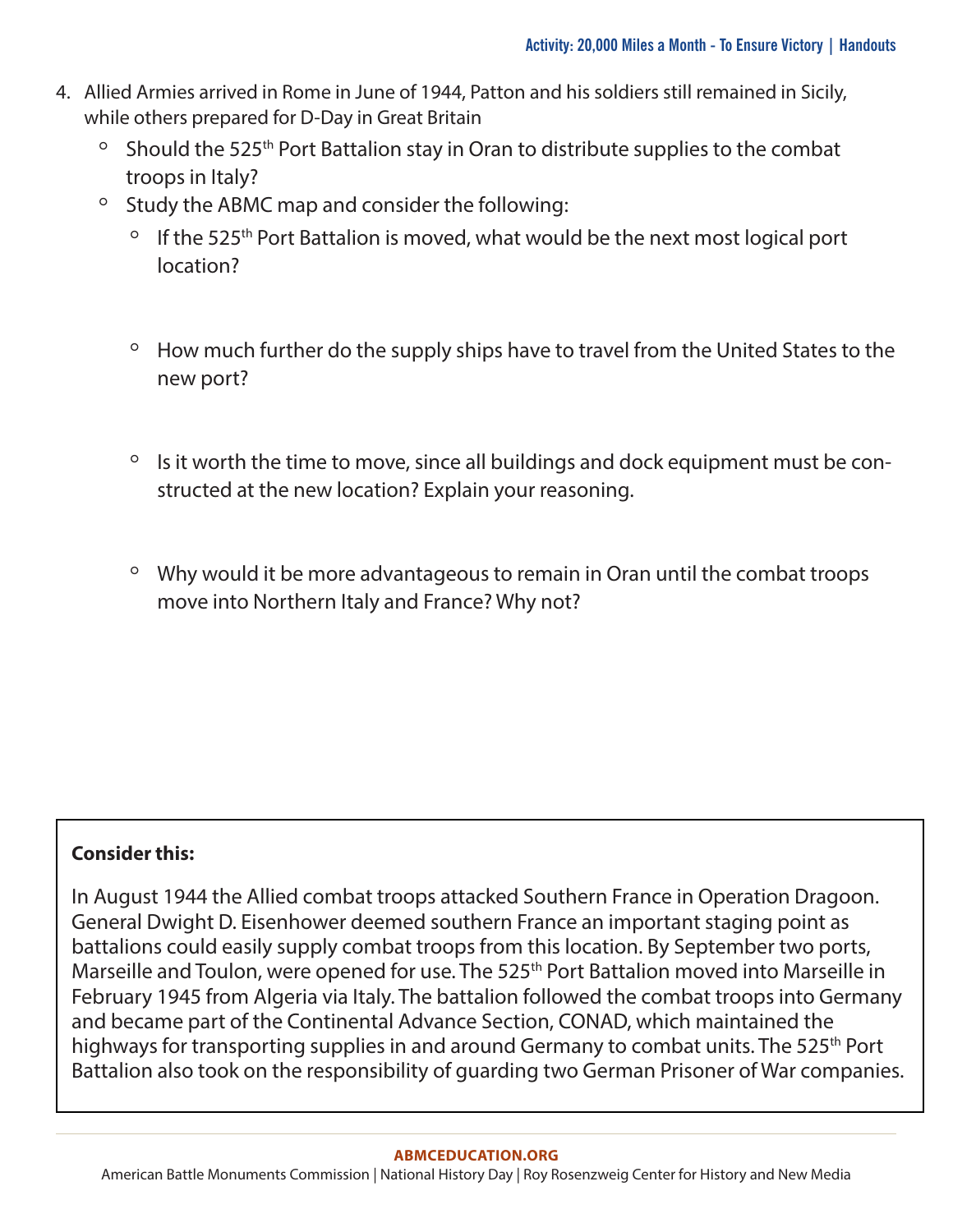- 4. Allied Armies arrived in Rome in June of 1944, Patton and his soldiers still remained in Sicily, while others prepared for D-Day in Great Britain
	- Should the 525th Port Battalion stay in Oran to distribute supplies to the combat troops in Italy?
	- Study the ABMC map and consider the following:
		- If the 525th Port Battalion is moved, what would be the next most logical port location?
		- How much further do the supply ships have to travel from the United States to the new port?
		- Is it worth the time to move, since all buildings and dock equipment must be constructed at the new location? Explain your reasoning.
		- Why would it be more advantageous to remain in Oran until the combat troops move into Northern Italy and France? Why not?

### **Consider this:**

In August 1944 the Allied combat troops attacked Southern France in Operation Dragoon. General Dwight D. Eisenhower deemed southern France an important staging point as battalions could easily supply combat troops from this location. By September two ports, Marseille and Toulon, were opened for use. The 525<sup>th</sup> Port Battalion moved into Marseille in February 1945 from Algeria via Italy. The battalion followed the combat troops into Germany and became part of the Continental Advance Section, CONAD, which maintained the highways for transporting supplies in and around Germany to combat units. The 525<sup>th</sup> Port Battalion also took on the responsibility of guarding two German Prisoner of War companies.

#### **[ABMCEDUCATION.ORG](http://abmceducation.org)**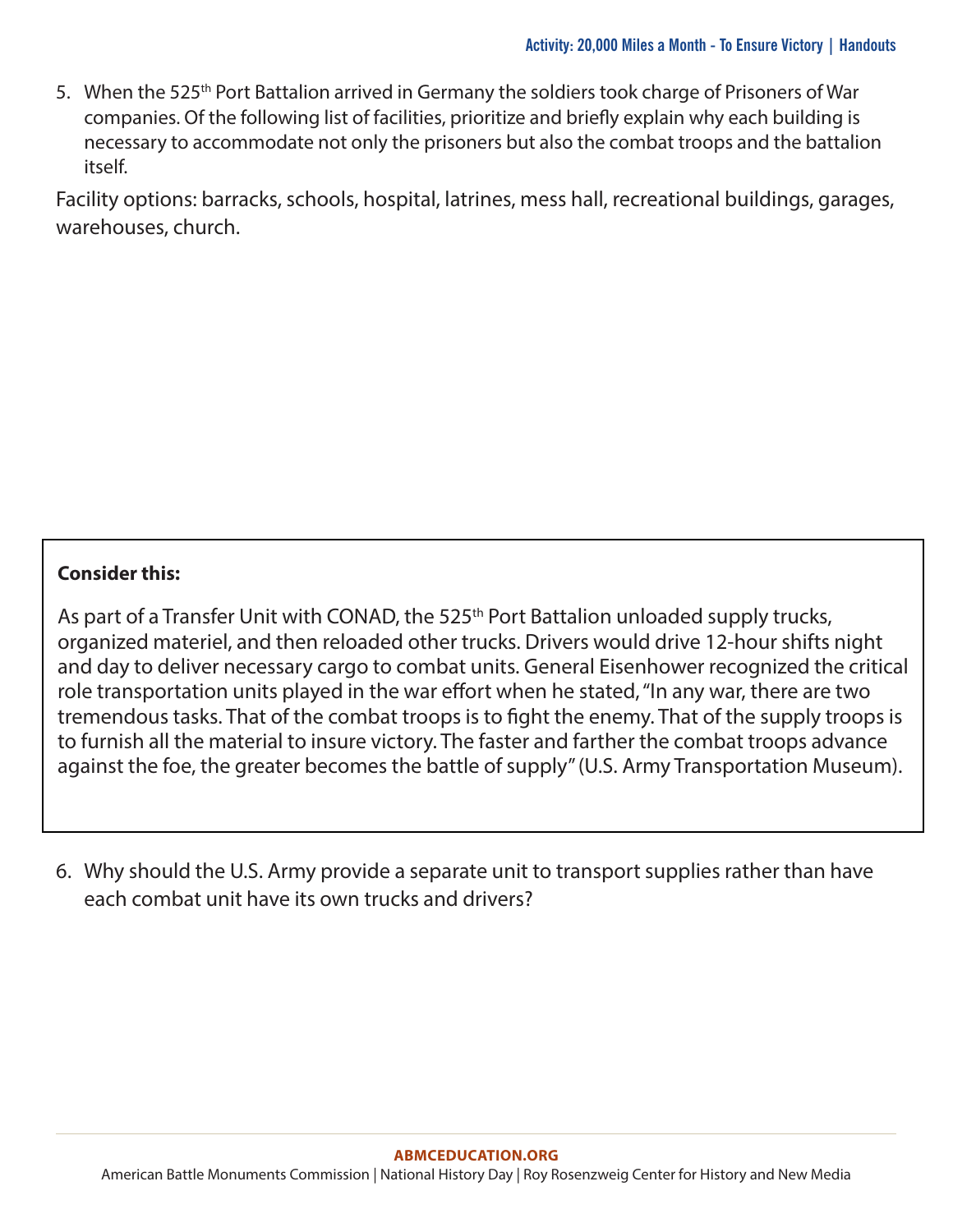5. When the 525th Port Battalion arrived in Germany the soldiers took charge of Prisoners of War companies. Of the following list of facilities, prioritize and briefly explain why each building is necessary to accommodate not only the prisoners but also the combat troops and the battalion itself.

Facility options: barracks, schools, hospital, latrines, mess hall, recreational buildings, garages, warehouses, church.

### **Consider this:**

As part of a Transfer Unit with CONAD, the 525<sup>th</sup> Port Battalion unloaded supply trucks, organized materiel, and then reloaded other trucks. Drivers would drive 12-hour shifts night and day to deliver necessary cargo to combat units. General Eisenhower recognized the critical role transportation units played in the war effort when he stated, "In any war, there are two tremendous tasks. That of the combat troops is to fight the enemy. That of the supply troops is to furnish all the material to insure victory. The faster and farther the combat troops advance against the foe, the greater becomes the battle of supply" (U.S. Army Transportation Museum).

6. Why should the U.S. Army provide a separate unit to transport supplies rather than have each combat unit have its own trucks and drivers?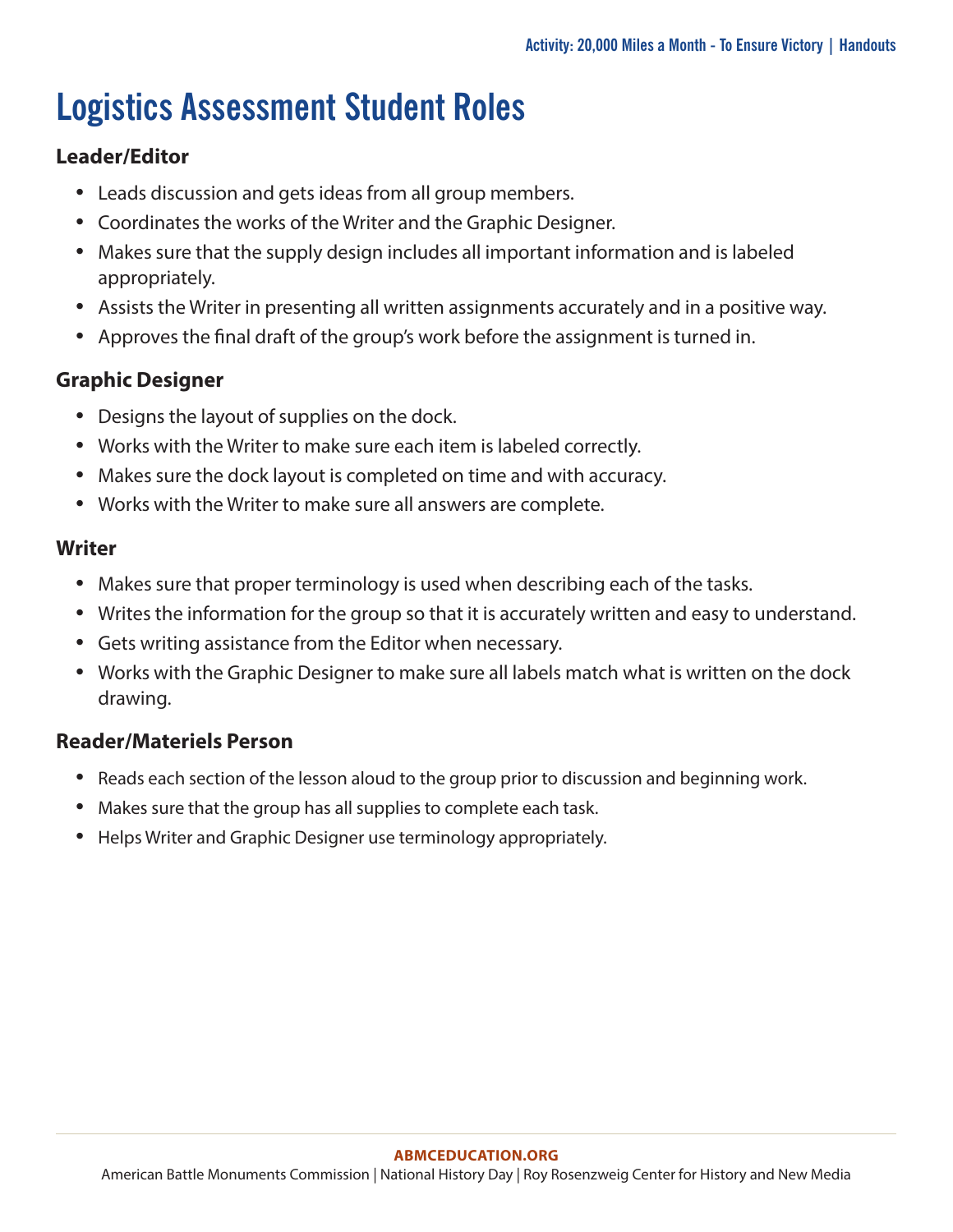# **Logistics Assessment Student Roles**

### **Leader/Editor**

- Leads discussion and gets ideas from all group members.
- Coordinates the works of the Writer and the Graphic Designer.
- Makes sure that the supply design includes all important information and is labeled appropriately.
- Assists the Writer in presenting all written assignments accurately and in a positive way.
- Approves the final draft of the group's work before the assignment is turned in.

### **Graphic Designer**

- Designs the layout of supplies on the dock.
- Works with the Writer to make sure each item is labeled correctly.
- Makes sure the dock layout is completed on time and with accuracy.
- Works with the Writer to make sure all answers are complete.

### **Writer**

- Makes sure that proper terminology is used when describing each of the tasks.
- Writes the information for the group so that it is accurately written and easy to understand.
- Gets writing assistance from the Editor when necessary.
- Works with the Graphic Designer to make sure all labels match what is written on the dock drawing.

### **Reader/Materiels Person**

- Reads each section of the lesson aloud to the group prior to discussion and beginning work.
- Makes sure that the group has all supplies to complete each task.
- Helps Writer and Graphic Designer use terminology appropriately.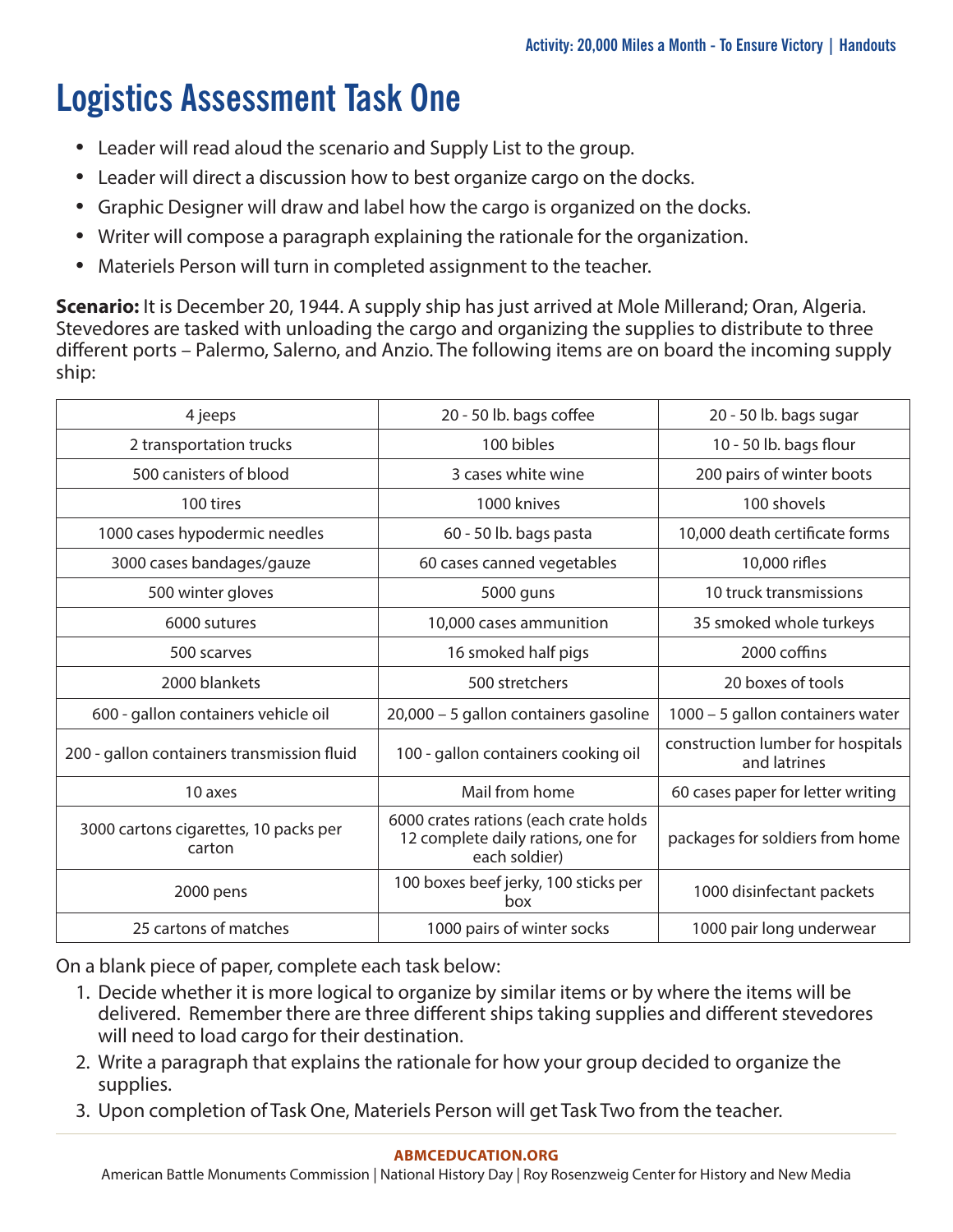# **Logistics Assessment Task One**

- Leader will read aloud the scenario and Supply List to the group.
- Leader will direct a discussion how to best organize cargo on the docks.
- Graphic Designer will draw and label how the cargo is organized on the docks.
- Writer will compose a paragraph explaining the rationale for the organization.
- Materiels Person will turn in completed assignment to the teacher.

**Scenario:** It is December 20, 1944. A supply ship has just arrived at Mole Millerand; Oran, Algeria. Stevedores are tasked with unloading the cargo and organizing the supplies to distribute to three different ports – Palermo, Salerno, and Anzio. The following items are on board the incoming supply ship:

| 4 jeeps                                         | 20 - 50 lb. bags coffee                                                                      | 20 - 50 lb. bags sugar                            |  |
|-------------------------------------------------|----------------------------------------------------------------------------------------------|---------------------------------------------------|--|
| 2 transportation trucks                         | 100 bibles                                                                                   | 10 - 50 lb. bags flour                            |  |
| 500 canisters of blood                          | 3 cases white wine                                                                           | 200 pairs of winter boots                         |  |
| 100 tires                                       | 1000 knives                                                                                  | 100 shovels                                       |  |
| 1000 cases hypodermic needles                   | 60 - 50 lb. bags pasta                                                                       | 10,000 death certificate forms                    |  |
| 3000 cases bandages/gauze                       | 60 cases canned vegetables                                                                   | 10,000 rifles                                     |  |
| 500 winter gloves                               | 5000 guns                                                                                    | 10 truck transmissions                            |  |
| 6000 sutures                                    | 10,000 cases ammunition                                                                      | 35 smoked whole turkeys                           |  |
| 500 scarves                                     | 16 smoked half pigs                                                                          | 2000 coffins                                      |  |
| 2000 blankets                                   | 500 stretchers                                                                               | 20 boxes of tools                                 |  |
| 600 - gallon containers vehicle oil             | 20,000 - 5 gallon containers gasoline                                                        | 1000 - 5 gallon containers water                  |  |
| 200 - gallon containers transmission fluid      | 100 - gallon containers cooking oil                                                          | construction lumber for hospitals<br>and latrines |  |
| 10 axes                                         | Mail from home                                                                               | 60 cases paper for letter writing                 |  |
| 3000 cartons cigarettes, 10 packs per<br>carton | 6000 crates rations (each crate holds<br>12 complete daily rations, one for<br>each soldier) | packages for soldiers from home                   |  |
| 2000 pens                                       | 100 boxes beef jerky, 100 sticks per<br>box                                                  | 1000 disinfectant packets                         |  |
| 25 cartons of matches                           | 1000 pairs of winter socks                                                                   | 1000 pair long underwear                          |  |

On a blank piece of paper, complete each task below:

- 1. Decide whether it is more logical to organize by similar items or by where the items will be delivered. Remember there are three different ships taking supplies and different stevedores will need to load cargo for their destination.
- 2. Write a paragraph that explains the rationale for how your group decided to organize the supplies.
- 3. Upon completion of Task One, Materiels Person will get Task Two from the teacher.

#### **[ABMCEDUCATION.ORG](http://abmceducation.org)**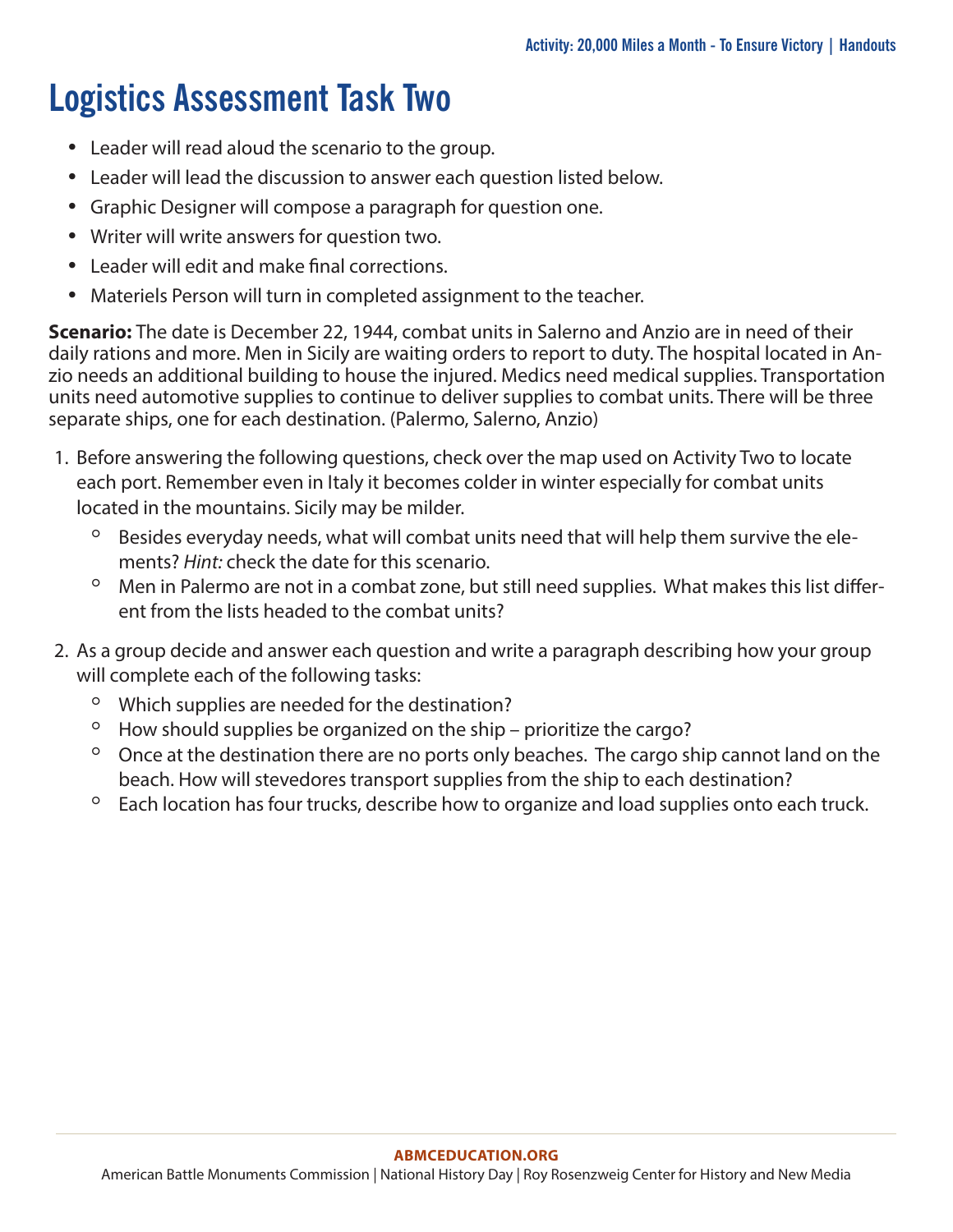# **Logistics Assessment Task Two**

- Leader will read aloud the scenario to the group.
- Leader will lead the discussion to answer each question listed below.
- Graphic Designer will compose a paragraph for question one.
- Writer will write answers for question two.
- Leader will edit and make final corrections.
- Materiels Person will turn in completed assignment to the teacher.

**Scenario:** The date is December 22, 1944, combat units in Salerno and Anzio are in need of their daily rations and more. Men in Sicily are waiting orders to report to duty. The hospital located in Anzio needs an additional building to house the injured. Medics need medical supplies. Transportation units need automotive supplies to continue to deliver supplies to combat units. There will be three separate ships, one for each destination. (Palermo, Salerno, Anzio)

- 1. Before answering the following questions, check over the map used on Activity Two to locate each port. Remember even in Italy it becomes colder in winter especially for combat units located in the mountains. Sicily may be milder.
	- Besides everyday needs, what will combat units need that will help them survive the elements? *Hint:* check the date for this scenario.
	- Men in Palermo are not in a combat zone, but still need supplies. What makes this list different from the lists headed to the combat units?
- 2. As a group decide and answer each question and write a paragraph describing how your group will complete each of the following tasks:
	- Which supplies are needed for the destination?
	- How should supplies be organized on the ship prioritize the cargo?
	- Once at the destination there are no ports only beaches. The cargo ship cannot land on the beach. How will stevedores transport supplies from the ship to each destination?
	- Each location has four trucks, describe how to organize and load supplies onto each truck.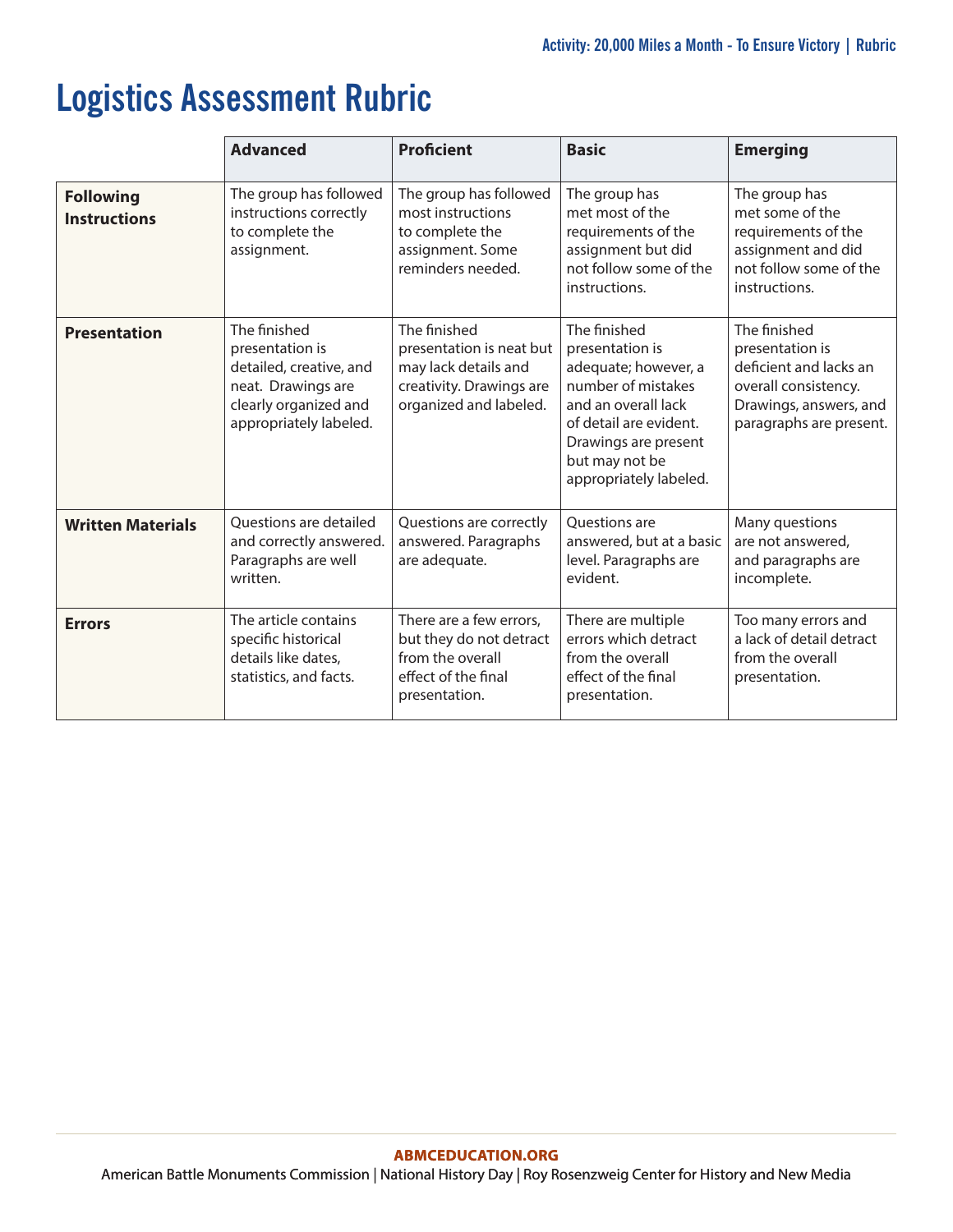# **Logistics Assessment Rubric**

|                                         | <b>Advanced</b>                                                                                                                     | <b>Proficient</b>                                                                                                      | <b>Basic</b>                                                                                                                                                                                       | <b>Emerging</b>                                                                                                                        |
|-----------------------------------------|-------------------------------------------------------------------------------------------------------------------------------------|------------------------------------------------------------------------------------------------------------------------|----------------------------------------------------------------------------------------------------------------------------------------------------------------------------------------------------|----------------------------------------------------------------------------------------------------------------------------------------|
| <b>Following</b><br><b>Instructions</b> | The group has followed<br>instructions correctly<br>to complete the<br>assignment.                                                  | The group has followed<br>most instructions<br>to complete the<br>assignment. Some<br>reminders needed.                | The group has<br>met most of the<br>requirements of the<br>assignment but did<br>not follow some of the<br>instructions.                                                                           | The group has<br>met some of the<br>requirements of the<br>assignment and did<br>not follow some of the<br>instructions.               |
| <b>Presentation</b>                     | The finished<br>presentation is<br>detailed, creative, and<br>neat. Drawings are<br>clearly organized and<br>appropriately labeled. | The finished<br>presentation is neat but<br>may lack details and<br>creativity. Drawings are<br>organized and labeled. | The finished<br>presentation is<br>adequate; however, a<br>number of mistakes<br>and an overall lack<br>of detail are evident.<br>Drawings are present<br>but may not be<br>appropriately labeled. | The finished<br>presentation is<br>deficient and lacks an<br>overall consistency.<br>Drawings, answers, and<br>paragraphs are present. |
| <b>Written Materials</b>                | <b>Ouestions are detailed</b><br>and correctly answered.<br>Paragraphs are well<br>written.                                         | Questions are correctly<br>answered. Paragraphs<br>are adequate.                                                       | <b>Ouestions</b> are<br>answered, but at a basic<br>level. Paragraphs are<br>evident.                                                                                                              | Many questions<br>are not answered,<br>and paragraphs are<br>incomplete.                                                               |
| <b>Errors</b>                           | The article contains<br>specific historical<br>details like dates,<br>statistics, and facts.                                        | There are a few errors,<br>but they do not detract<br>from the overall<br>effect of the final<br>presentation.         | There are multiple<br>errors which detract<br>from the overall<br>effect of the final<br>presentation.                                                                                             | Too many errors and<br>a lack of detail detract<br>from the overall<br>presentation.                                                   |